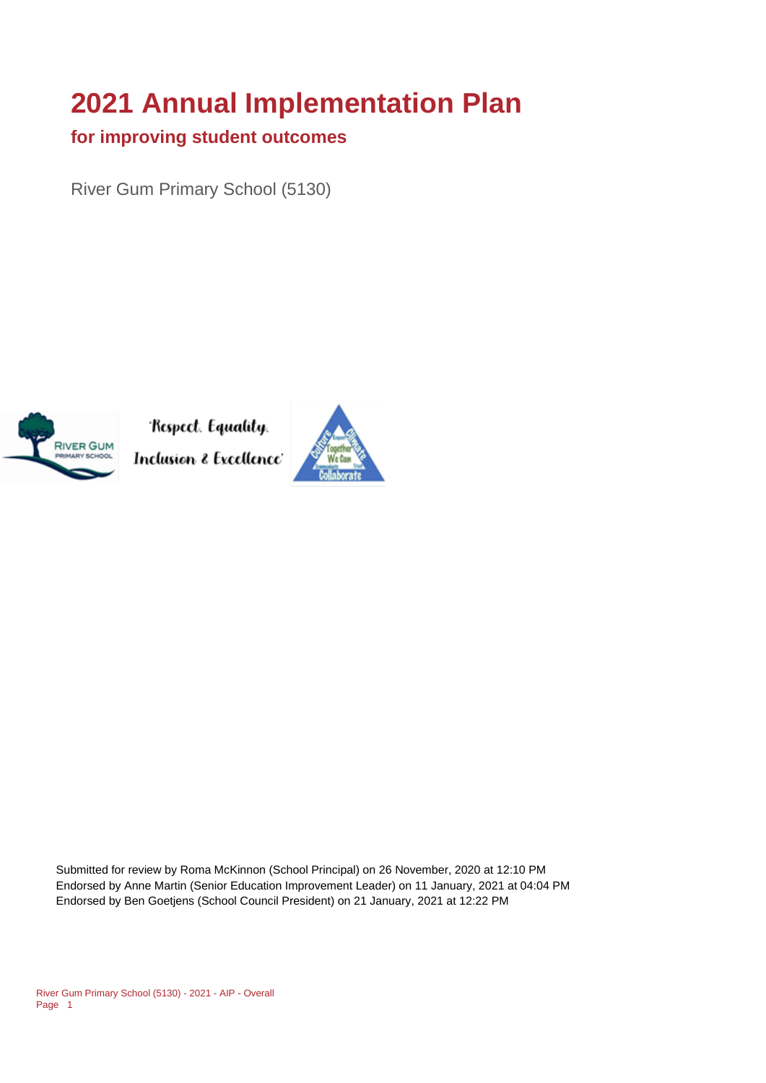# **2021 Annual Implementation Plan**

#### **for improving student outcomes**

River Gum Primary School (5130)



Respect. Equality. Inclusion & Excellence<sup>,</sup>



Submitted for review by Roma McKinnon (School Principal) on 26 November, 2020 at 12:10 PM Endorsed by Anne Martin (Senior Education Improvement Leader) on 11 January, 2021 at 04:04 PM Endorsed by Ben Goetjens (School Council President) on 21 January, 2021 at 12:22 PM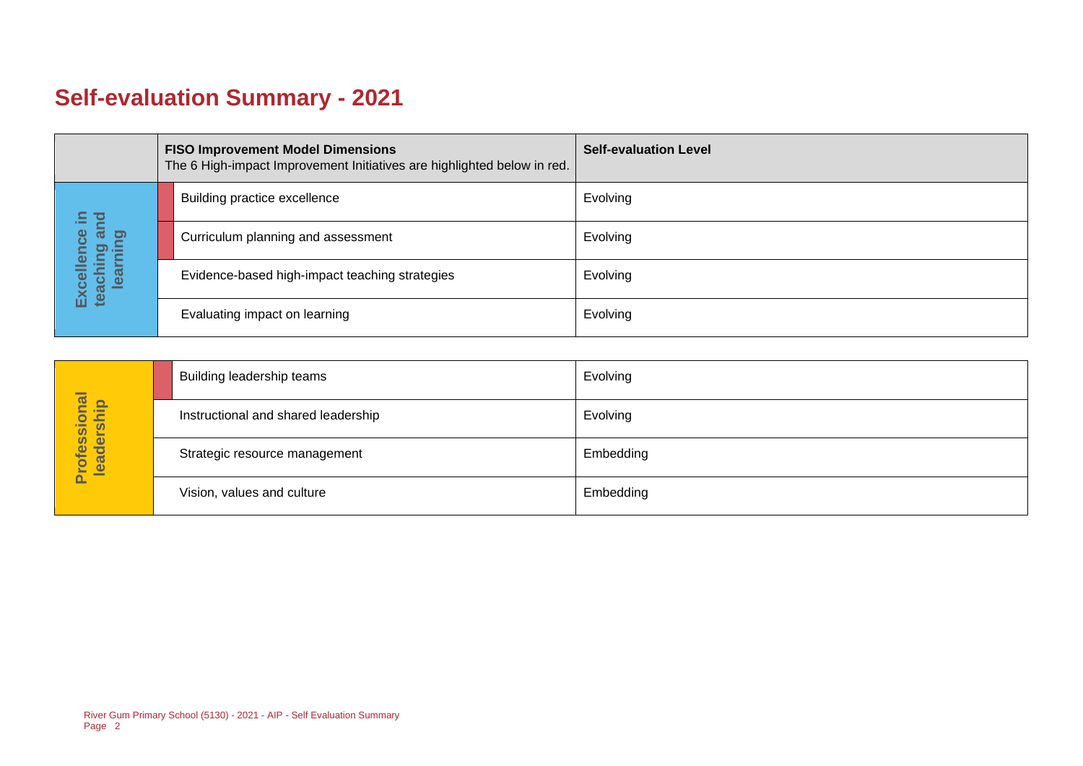## **Self-evaluation Summary - 2021**

|  |                                                  | <b>FISO Improvement Model Dimensions</b><br>The 6 High-impact Improvement Initiatives are highlighted below in red. | <b>Self-evaluation Level</b> |
|--|--------------------------------------------------|---------------------------------------------------------------------------------------------------------------------|------------------------------|
|  | (크<br>ਠ                                          | Building practice excellence                                                                                        | Evolving                     |
|  | $\equiv$<br>ౚఀ<br>lence<br>aching ar<br>learning | Curriculum planning and assessment                                                                                  | Evolving                     |
|  | Excell<br>teachi                                 | Evidence-based high-impact teaching strategies                                                                      | Evolving                     |
|  |                                                  | Evaluating impact on learning                                                                                       | Evolving                     |

|                            | Building leadership teams           | Evolving  |
|----------------------------|-------------------------------------|-----------|
|                            | Instructional and shared leadership | Evolving  |
| Professional<br>leadership | Strategic resource management       | Embedding |
|                            | Vision, values and culture          | Embedding |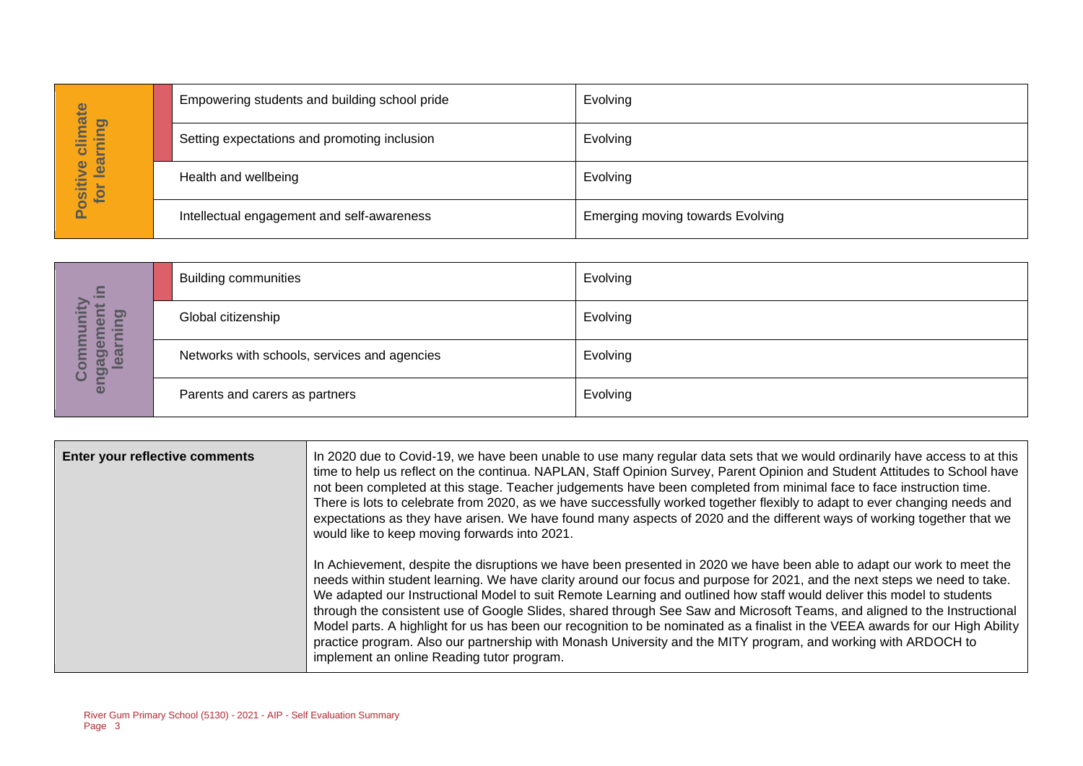| hate                                                 | Empowering students and building school pride | Evolving                         |
|------------------------------------------------------|-----------------------------------------------|----------------------------------|
| pui<br>►<br>۲<br>$\equiv$<br>ပ<br>声                  | Setting expectations and promoting inclusion  | Evolving                         |
| Φ<br>$\overline{\mathbf{e}}$<br><b>OSitiv</b><br>for | Health and wellbeing                          | Evolving                         |
|                                                      | Intellectual engagement and self-awareness    | Emerging moving towards Evolving |

| $\Xi$                                            | <b>Building communities</b>                  | Evolving |
|--------------------------------------------------|----------------------------------------------|----------|
| $\bullet$<br>$\boldsymbol{\omega}$<br><u>re</u>  | Global citizenship                           | Evolving |
| $\bullet$<br><b>GO</b><br>enga<br>$\bullet$<br>Ō | Networks with schools, services and agencies | Evolving |
|                                                  | Parents and carers as partners               | Evolving |

|                                        |                                                                        | Empowering students and building school pride                                                                                                                                                                                                                                                                                                                                                                                                                                                                                                                                                                                                                                                                                                                                                                | ⊏v∪ivi⊓g                                                                                                                                                                                                                                                                                                                                                                                                                                                                                                                                                                                                                                  |  |
|----------------------------------------|------------------------------------------------------------------------|--------------------------------------------------------------------------------------------------------------------------------------------------------------------------------------------------------------------------------------------------------------------------------------------------------------------------------------------------------------------------------------------------------------------------------------------------------------------------------------------------------------------------------------------------------------------------------------------------------------------------------------------------------------------------------------------------------------------------------------------------------------------------------------------------------------|-------------------------------------------------------------------------------------------------------------------------------------------------------------------------------------------------------------------------------------------------------------------------------------------------------------------------------------------------------------------------------------------------------------------------------------------------------------------------------------------------------------------------------------------------------------------------------------------------------------------------------------------|--|
| Positive climate<br>for learning       |                                                                        | Setting expectations and promoting inclusion                                                                                                                                                                                                                                                                                                                                                                                                                                                                                                                                                                                                                                                                                                                                                                 | Evolving                                                                                                                                                                                                                                                                                                                                                                                                                                                                                                                                                                                                                                  |  |
|                                        | Health and wellbeing                                                   |                                                                                                                                                                                                                                                                                                                                                                                                                                                                                                                                                                                                                                                                                                                                                                                                              | Evolving                                                                                                                                                                                                                                                                                                                                                                                                                                                                                                                                                                                                                                  |  |
|                                        | Intellectual engagement and self-awareness                             |                                                                                                                                                                                                                                                                                                                                                                                                                                                                                                                                                                                                                                                                                                                                                                                                              | <b>Emerging moving towards Evolving</b>                                                                                                                                                                                                                                                                                                                                                                                                                                                                                                                                                                                                   |  |
|                                        |                                                                        |                                                                                                                                                                                                                                                                                                                                                                                                                                                                                                                                                                                                                                                                                                                                                                                                              |                                                                                                                                                                                                                                                                                                                                                                                                                                                                                                                                                                                                                                           |  |
|                                        | <b>Building communities</b>                                            |                                                                                                                                                                                                                                                                                                                                                                                                                                                                                                                                                                                                                                                                                                                                                                                                              | Evolving                                                                                                                                                                                                                                                                                                                                                                                                                                                                                                                                                                                                                                  |  |
|                                        | Global citizenship                                                     |                                                                                                                                                                                                                                                                                                                                                                                                                                                                                                                                                                                                                                                                                                                                                                                                              | Evolving                                                                                                                                                                                                                                                                                                                                                                                                                                                                                                                                                                                                                                  |  |
| engagement in<br>Community<br>learning |                                                                        | Networks with schools, services and agencies                                                                                                                                                                                                                                                                                                                                                                                                                                                                                                                                                                                                                                                                                                                                                                 | Evolving                                                                                                                                                                                                                                                                                                                                                                                                                                                                                                                                                                                                                                  |  |
|                                        | Parents and carers as partners                                         |                                                                                                                                                                                                                                                                                                                                                                                                                                                                                                                                                                                                                                                                                                                                                                                                              | Evolving                                                                                                                                                                                                                                                                                                                                                                                                                                                                                                                                                                                                                                  |  |
|                                        |                                                                        |                                                                                                                                                                                                                                                                                                                                                                                                                                                                                                                                                                                                                                                                                                                                                                                                              |                                                                                                                                                                                                                                                                                                                                                                                                                                                                                                                                                                                                                                           |  |
|                                        | Enter your reflective comments                                         | would like to keep moving forwards into 2021.                                                                                                                                                                                                                                                                                                                                                                                                                                                                                                                                                                                                                                                                                                                                                                | In 2020 due to Covid-19, we have been unable to use many regular data sets that we would ordinarily have access to at this<br>time to help us reflect on the continua. NAPLAN, Staff Opinion Survey, Parent Opinion and Student Attitudes to School have<br>not been completed at this stage. Teacher judgements have been completed from minimal face to face instruction time.<br>There is lots to celebrate from 2020, as we have successfully worked together flexibly to adapt to ever changing needs and<br>expectations as they have arisen. We have found many aspects of 2020 and the different ways of working together that we |  |
|                                        |                                                                        | In Achievement, despite the disruptions we have been presented in 2020 we have been able to adapt our work to meet the<br>needs within student learning. We have clarity around our focus and purpose for 2021, and the next steps we need to take.<br>We adapted our Instructional Model to suit Remote Learning and outlined how staff would deliver this model to students<br>through the consistent use of Google Slides, shared through See Saw and Microsoft Teams, and aligned to the Instructional<br>Model parts. A highlight for us has been our recognition to be nominated as a finalist in the VEEA awards for our High Ability<br>practice program. Also our partnership with Monash University and the MITY program, and working with ARDOCH to<br>implement an online Reading tutor program. |                                                                                                                                                                                                                                                                                                                                                                                                                                                                                                                                                                                                                                           |  |
| Page 3                                 | River Gum Primary School (5130) - 2021 - AIP - Self Evaluation Summary |                                                                                                                                                                                                                                                                                                                                                                                                                                                                                                                                                                                                                                                                                                                                                                                                              |                                                                                                                                                                                                                                                                                                                                                                                                                                                                                                                                                                                                                                           |  |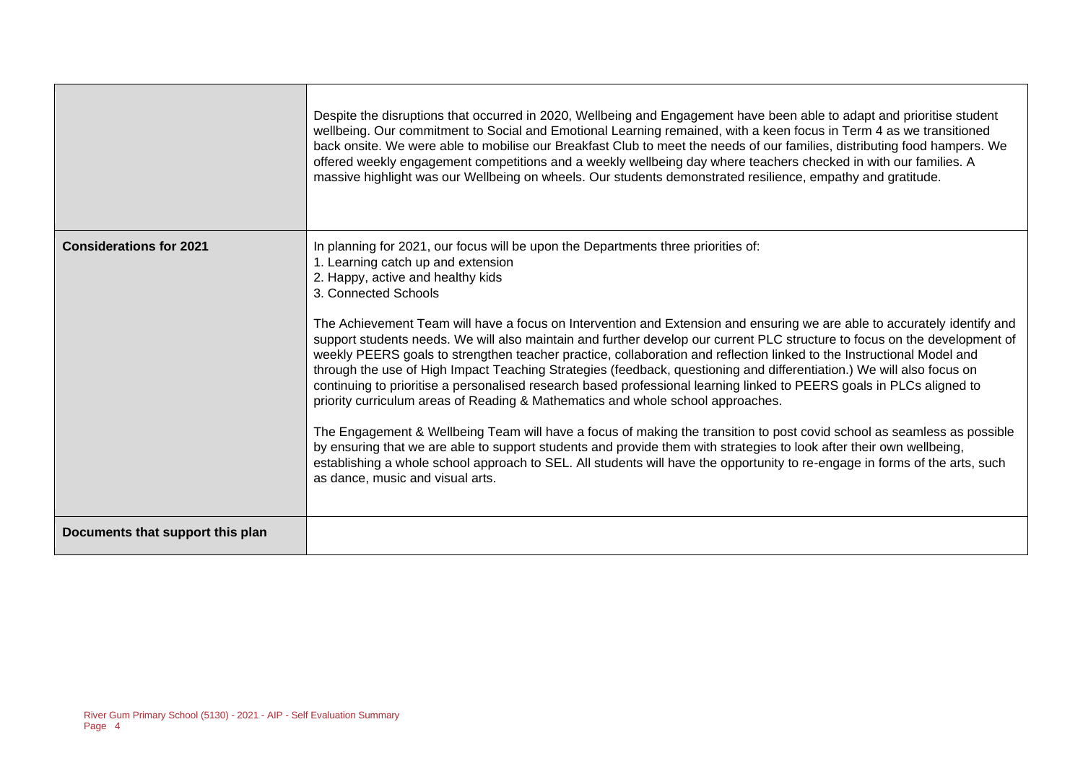|                                  | Despite the disruptions that occurred in 2020, Wellbeing and Engagement have been able to adapt and prioritise student<br>wellbeing. Our commitment to Social and Emotional Learning remained, with a keen focus in Term 4 as we transitioned<br>back onsite. We were able to mobilise our Breakfast Club to meet the needs of our families, distributing food hampers. We<br>offered weekly engagement competitions and a weekly wellbeing day where teachers checked in with our families. A<br>massive highlight was our Wellbeing on wheels. Our students demonstrated resilience, empathy and gratitude.                                                                                                                                                                                                                                                                                                                                                                                                                                                                                                                                                                                                                                                                                                                      |
|----------------------------------|------------------------------------------------------------------------------------------------------------------------------------------------------------------------------------------------------------------------------------------------------------------------------------------------------------------------------------------------------------------------------------------------------------------------------------------------------------------------------------------------------------------------------------------------------------------------------------------------------------------------------------------------------------------------------------------------------------------------------------------------------------------------------------------------------------------------------------------------------------------------------------------------------------------------------------------------------------------------------------------------------------------------------------------------------------------------------------------------------------------------------------------------------------------------------------------------------------------------------------------------------------------------------------------------------------------------------------|
| <b>Considerations for 2021</b>   | In planning for 2021, our focus will be upon the Departments three priorities of:<br>1. Learning catch up and extension<br>2. Happy, active and healthy kids<br>3. Connected Schools<br>The Achievement Team will have a focus on Intervention and Extension and ensuring we are able to accurately identify and<br>support students needs. We will also maintain and further develop our current PLC structure to focus on the development of<br>weekly PEERS goals to strengthen teacher practice, collaboration and reflection linked to the Instructional Model and<br>through the use of High Impact Teaching Strategies (feedback, questioning and differentiation.) We will also focus on<br>continuing to prioritise a personalised research based professional learning linked to PEERS goals in PLCs aligned to<br>priority curriculum areas of Reading & Mathematics and whole school approaches.<br>The Engagement & Wellbeing Team will have a focus of making the transition to post covid school as seamless as possible<br>by ensuring that we are able to support students and provide them with strategies to look after their own wellbeing,<br>establishing a whole school approach to SEL. All students will have the opportunity to re-engage in forms of the arts, such<br>as dance, music and visual arts. |
| Documents that support this plan |                                                                                                                                                                                                                                                                                                                                                                                                                                                                                                                                                                                                                                                                                                                                                                                                                                                                                                                                                                                                                                                                                                                                                                                                                                                                                                                                    |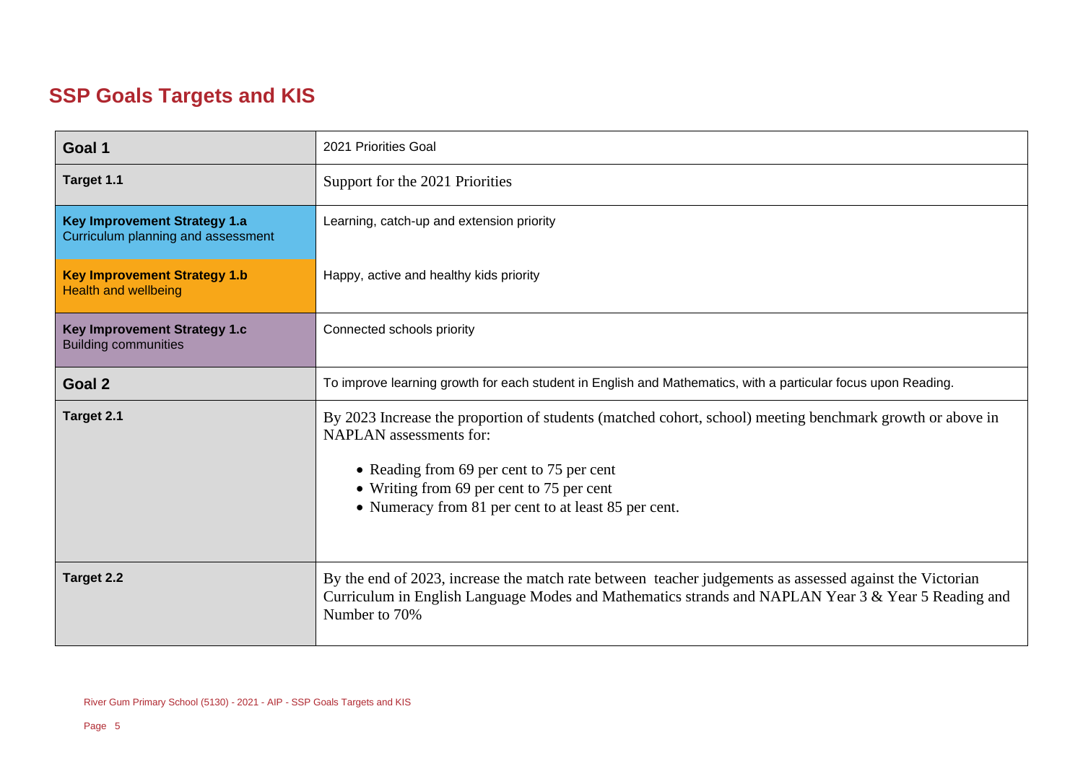## **SSP Goals Targets and KIS**

| Goal 1                                                                    | 2021 Priorities Goal                                                                                                                                                                                                                                                                          |  |  |
|---------------------------------------------------------------------------|-----------------------------------------------------------------------------------------------------------------------------------------------------------------------------------------------------------------------------------------------------------------------------------------------|--|--|
| Target 1.1                                                                | Support for the 2021 Priorities                                                                                                                                                                                                                                                               |  |  |
| <b>Key Improvement Strategy 1.a</b><br>Curriculum planning and assessment | Learning, catch-up and extension priority                                                                                                                                                                                                                                                     |  |  |
| <b>Key Improvement Strategy 1.b</b><br><b>Health and wellbeing</b>        | Happy, active and healthy kids priority                                                                                                                                                                                                                                                       |  |  |
| <b>Key Improvement Strategy 1.c</b><br><b>Building communities</b>        | Connected schools priority                                                                                                                                                                                                                                                                    |  |  |
| Goal 2                                                                    | To improve learning growth for each student in English and Mathematics, with a particular focus upon Reading.                                                                                                                                                                                 |  |  |
| Target 2.1                                                                | By 2023 Increase the proportion of students (matched cohort, school) meeting benchmark growth or above in<br><b>NAPLAN</b> assessments for:<br>• Reading from 69 per cent to 75 per cent<br>• Writing from 69 per cent to 75 per cent<br>• Numeracy from 81 per cent to at least 85 per cent. |  |  |
| <b>Target 2.2</b>                                                         | By the end of 2023, increase the match rate between teacher judgements as assessed against the Victorian<br>Curriculum in English Language Modes and Mathematics strands and NAPLAN Year 3 & Year 5 Reading and<br>Number to 70%                                                              |  |  |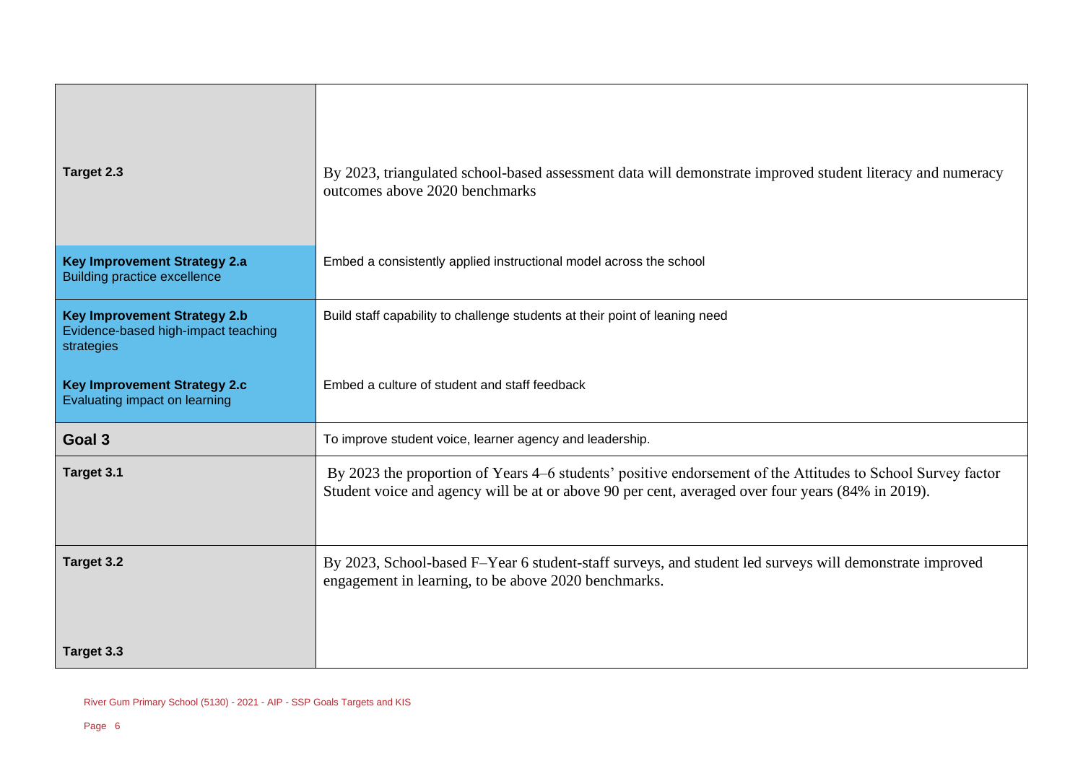| Target 2.3                                                                               | By 2023, triangulated school-based assessment data will demonstrate improved student literacy and numeracy<br>outcomes above 2020 benchmarks                                                                     |  |  |
|------------------------------------------------------------------------------------------|------------------------------------------------------------------------------------------------------------------------------------------------------------------------------------------------------------------|--|--|
| <b>Key Improvement Strategy 2.a</b><br><b>Building practice excellence</b>               | Embed a consistently applied instructional model across the school                                                                                                                                               |  |  |
| <b>Key Improvement Strategy 2.b</b><br>Evidence-based high-impact teaching<br>strategies | Build staff capability to challenge students at their point of leaning need                                                                                                                                      |  |  |
| <b>Key Improvement Strategy 2.c</b><br>Evaluating impact on learning                     | Embed a culture of student and staff feedback                                                                                                                                                                    |  |  |
| Goal 3                                                                                   | To improve student voice, learner agency and leadership.                                                                                                                                                         |  |  |
| Target 3.1                                                                               | By 2023 the proportion of Years 4–6 students' positive endorsement of the Attitudes to School Survey factor<br>Student voice and agency will be at or above 90 per cent, averaged over four years (84% in 2019). |  |  |
| Target 3.2                                                                               | By 2023, School-based F-Year 6 student-staff surveys, and student led surveys will demonstrate improved<br>engagement in learning, to be above 2020 benchmarks.                                                  |  |  |
| Target 3.3                                                                               |                                                                                                                                                                                                                  |  |  |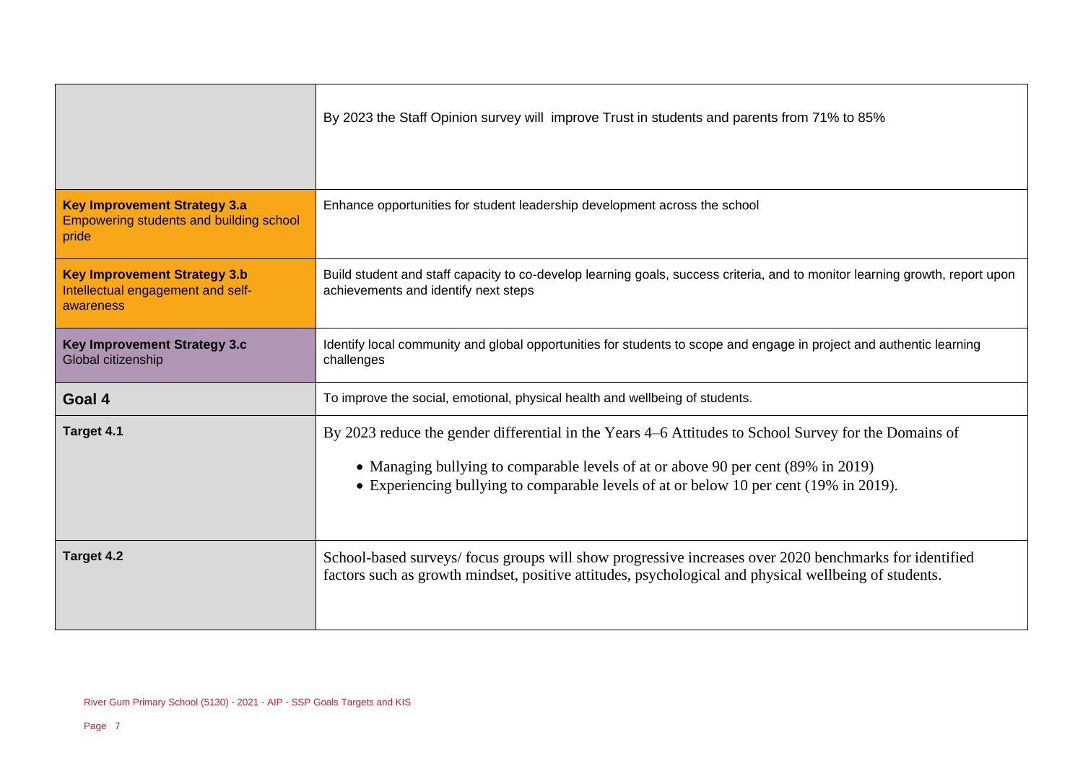|                                                                                         | By 2023 the Staff Opinion survey will improve Trust in students and parents from 71% to 85%                                                                                                                                                                                          |  |  |
|-----------------------------------------------------------------------------------------|--------------------------------------------------------------------------------------------------------------------------------------------------------------------------------------------------------------------------------------------------------------------------------------|--|--|
| <b>Key Improvement Strategy 3.a</b><br>Empowering students and building school<br>pride | Enhance opportunities for student leadership development across the school                                                                                                                                                                                                           |  |  |
| <b>Key Improvement Strategy 3.b</b><br>Intellectual engagement and self-<br>awareness   | Build student and staff capacity to co-develop learning goals, success criteria, and to monitor learning growth, report upon<br>achievements and identify next steps                                                                                                                 |  |  |
| <b>Key Improvement Strategy 3.c</b><br>Global citizenship                               | Identify local community and global opportunities for students to scope and engage in project and authentic learning<br>challenges                                                                                                                                                   |  |  |
| Goal 4                                                                                  | To improve the social, emotional, physical health and wellbeing of students.                                                                                                                                                                                                         |  |  |
| Target 4.1                                                                              | By 2023 reduce the gender differential in the Years 4–6 Attitudes to School Survey for the Domains of<br>• Managing bullying to comparable levels of at or above 90 per cent (89% in 2019)<br>• Experiencing bullying to comparable levels of at or below 10 per cent (19% in 2019). |  |  |
| Target 4.2                                                                              | School-based surveys/focus groups will show progressive increases over 2020 benchmarks for identified<br>factors such as growth mindset, positive attitudes, psychological and physical wellbeing of students.                                                                       |  |  |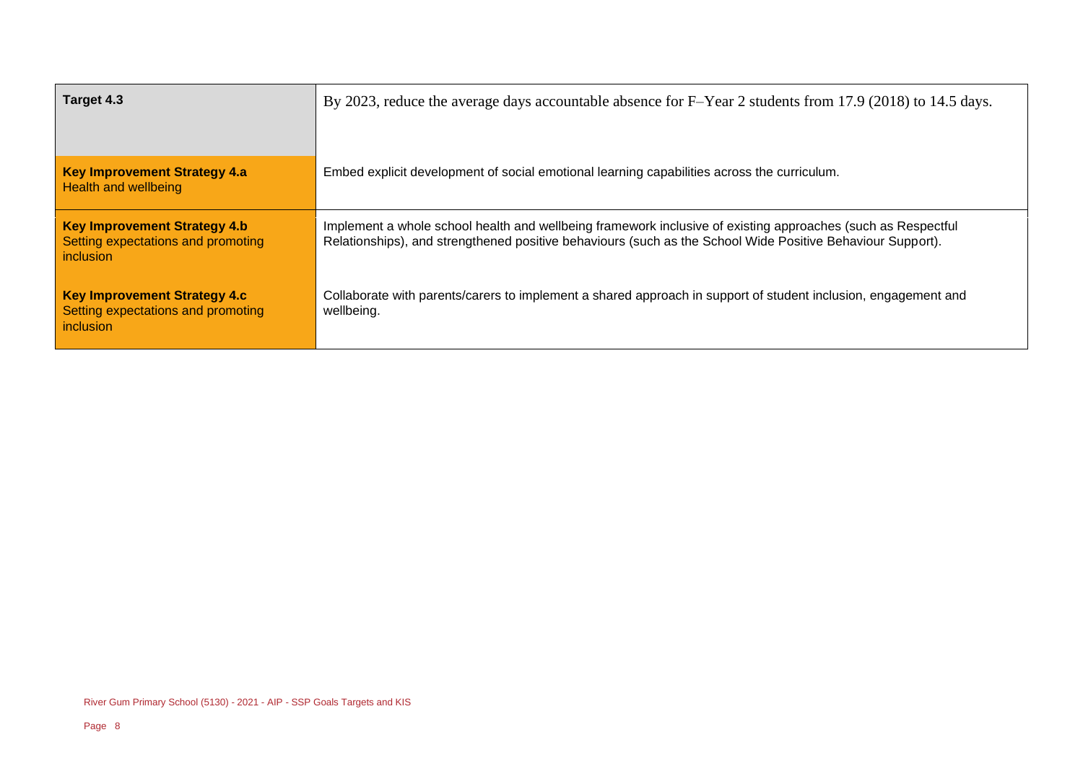| Target 4.3                                                                             | By 2023, reduce the average days accountable absence for F-Year 2 students from 17.9 (2018) to 14.5 days.                                                                                                                  |  |
|----------------------------------------------------------------------------------------|----------------------------------------------------------------------------------------------------------------------------------------------------------------------------------------------------------------------------|--|
| <b>Key Improvement Strategy 4.a</b><br><b>Health and wellbeing</b>                     | Embed explicit development of social emotional learning capabilities across the curriculum.                                                                                                                                |  |
| <b>Key Improvement Strategy 4.b</b><br>Setting expectations and promoting<br>inclusion | Implement a whole school health and wellbeing framework inclusive of existing approaches (such as Respectful<br>Relationships), and strengthened positive behaviours (such as the School Wide Positive Behaviour Support). |  |
| <b>Key Improvement Strategy 4.c</b><br>Setting expectations and promoting<br>inclusion | Collaborate with parents/carers to implement a shared approach in support of student inclusion, engagement and<br>wellbeing.                                                                                               |  |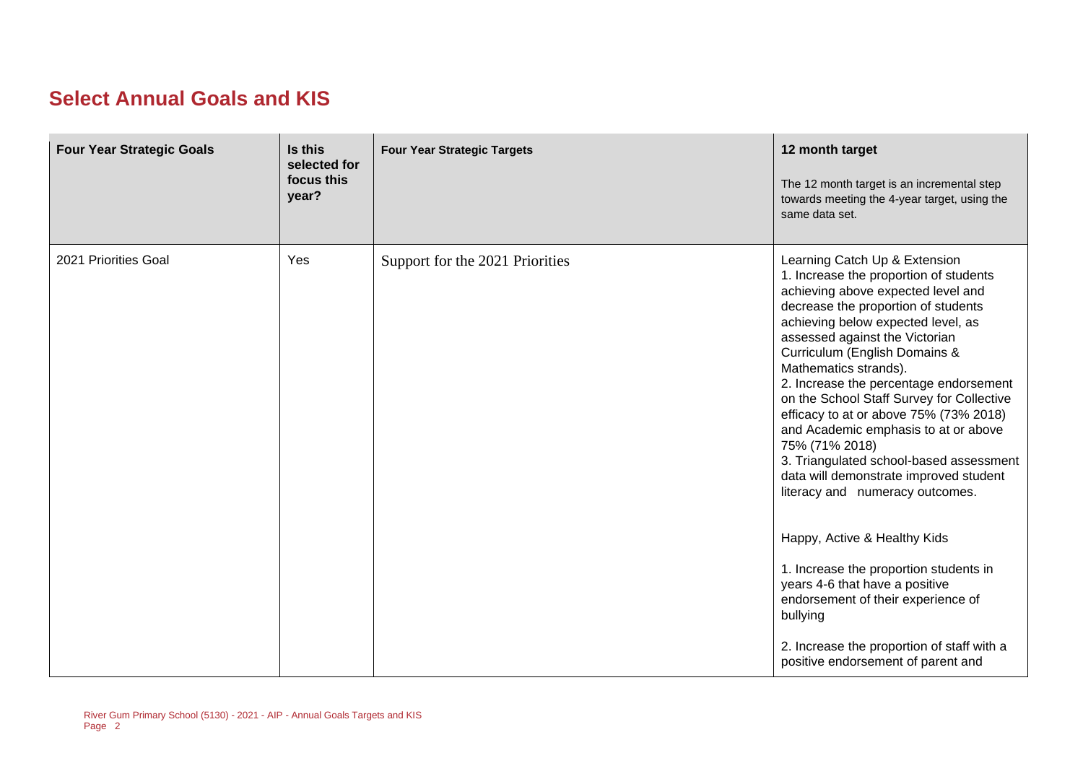#### **Select Annual Goals and KIS**

| <b>Four Year Strategic Goals</b> | Is this<br>selected for<br>focus this<br>year? | <b>Four Year Strategic Targets</b> | 12 month target<br>The 12 month target is an incremental step<br>towards meeting the 4-year target, using the<br>same data set.                                                                                                                                                                                                                                                                                                                                                                                                                                                                           |
|----------------------------------|------------------------------------------------|------------------------------------|-----------------------------------------------------------------------------------------------------------------------------------------------------------------------------------------------------------------------------------------------------------------------------------------------------------------------------------------------------------------------------------------------------------------------------------------------------------------------------------------------------------------------------------------------------------------------------------------------------------|
| 2021 Priorities Goal             | Yes                                            | Support for the 2021 Priorities    | Learning Catch Up & Extension<br>1. Increase the proportion of students<br>achieving above expected level and<br>decrease the proportion of students<br>achieving below expected level, as<br>assessed against the Victorian<br>Curriculum (English Domains &<br>Mathematics strands).<br>2. Increase the percentage endorsement<br>on the School Staff Survey for Collective<br>efficacy to at or above 75% (73% 2018)<br>and Academic emphasis to at or above<br>75% (71% 2018)<br>3. Triangulated school-based assessment<br>data will demonstrate improved student<br>literacy and numeracy outcomes. |
|                                  |                                                |                                    | Happy, Active & Healthy Kids<br>1. Increase the proportion students in<br>years 4-6 that have a positive<br>endorsement of their experience of<br>bullying                                                                                                                                                                                                                                                                                                                                                                                                                                                |
|                                  |                                                |                                    | 2. Increase the proportion of staff with a<br>positive endorsement of parent and                                                                                                                                                                                                                                                                                                                                                                                                                                                                                                                          |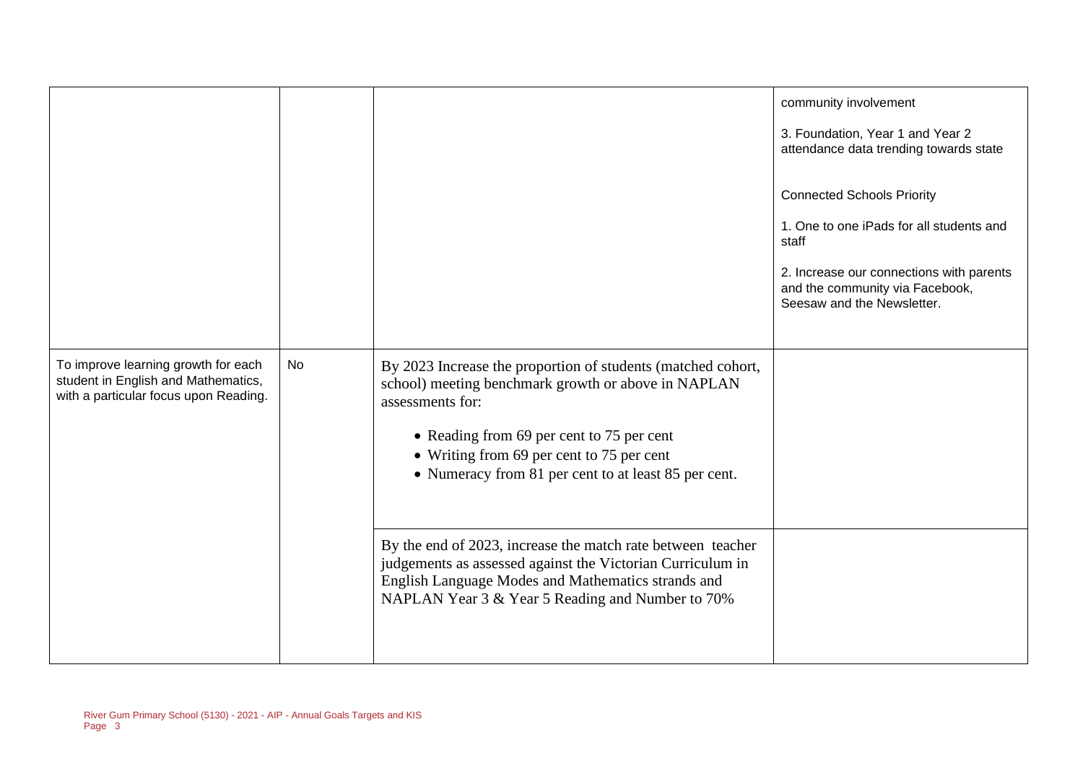|                                                                                                                     |    |                                                                                                                                                                                                                                                                                           | community involvement<br>3. Foundation, Year 1 and Year 2<br>attendance data trending towards state<br><b>Connected Schools Priority</b><br>1. One to one iPads for all students and<br>staff<br>2. Increase our connections with parents<br>and the community via Facebook,<br>Seesaw and the Newsletter. |
|---------------------------------------------------------------------------------------------------------------------|----|-------------------------------------------------------------------------------------------------------------------------------------------------------------------------------------------------------------------------------------------------------------------------------------------|------------------------------------------------------------------------------------------------------------------------------------------------------------------------------------------------------------------------------------------------------------------------------------------------------------|
| To improve learning growth for each<br>student in English and Mathematics,<br>with a particular focus upon Reading. | No | By 2023 Increase the proportion of students (matched cohort,<br>school) meeting benchmark growth or above in NAPLAN<br>assessments for:<br>• Reading from 69 per cent to 75 per cent<br>• Writing from 69 per cent to 75 per cent<br>• Numeracy from 81 per cent to at least 85 per cent. |                                                                                                                                                                                                                                                                                                            |
|                                                                                                                     |    | By the end of 2023, increase the match rate between teacher<br>judgements as assessed against the Victorian Curriculum in<br>English Language Modes and Mathematics strands and<br>NAPLAN Year 3 & Year 5 Reading and Number to 70%                                                       |                                                                                                                                                                                                                                                                                                            |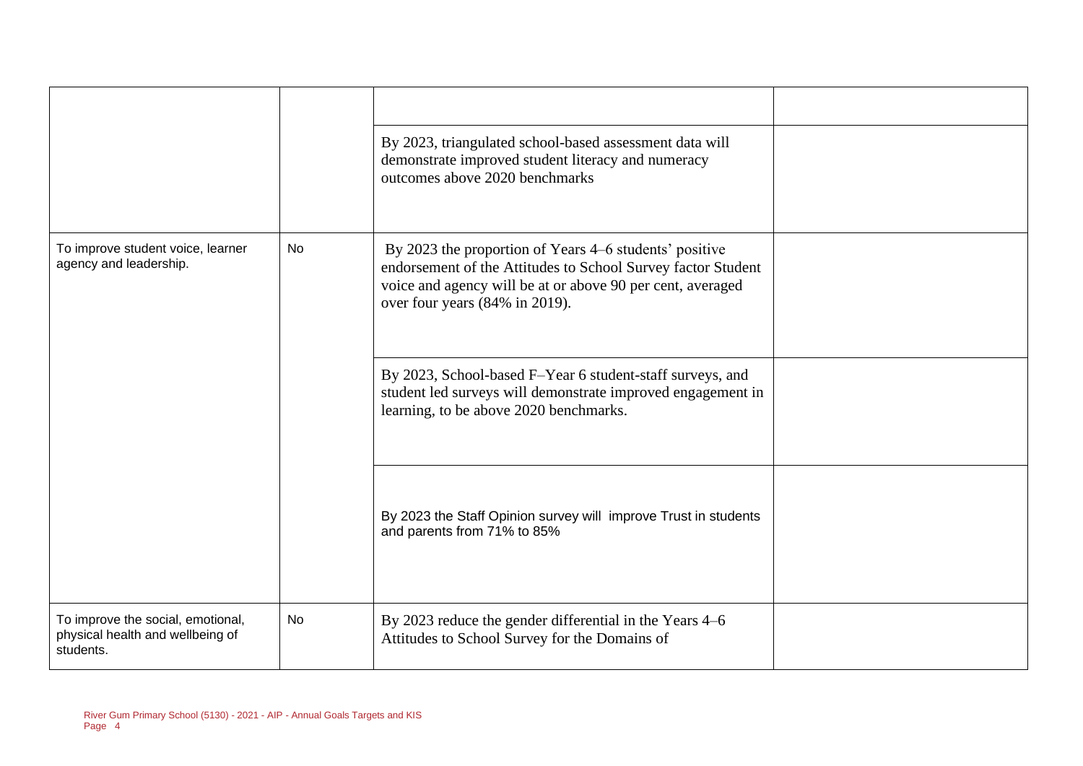|                                                                                    |           | By 2023, triangulated school-based assessment data will<br>demonstrate improved student literacy and numeracy<br>outcomes above 2020 benchmarks                                                                        |  |
|------------------------------------------------------------------------------------|-----------|------------------------------------------------------------------------------------------------------------------------------------------------------------------------------------------------------------------------|--|
| To improve student voice, learner<br>agency and leadership.                        | No        | By 2023 the proportion of Years 4–6 students' positive<br>endorsement of the Attitudes to School Survey factor Student<br>voice and agency will be at or above 90 per cent, averaged<br>over four years (84% in 2019). |  |
|                                                                                    |           | By 2023, School-based F-Year 6 student-staff surveys, and<br>student led surveys will demonstrate improved engagement in<br>learning, to be above 2020 benchmarks.                                                     |  |
|                                                                                    |           | By 2023 the Staff Opinion survey will improve Trust in students<br>and parents from 71% to 85%                                                                                                                         |  |
| To improve the social, emotional,<br>physical health and wellbeing of<br>students. | <b>No</b> | By 2023 reduce the gender differential in the Years 4–6<br>Attitudes to School Survey for the Domains of                                                                                                               |  |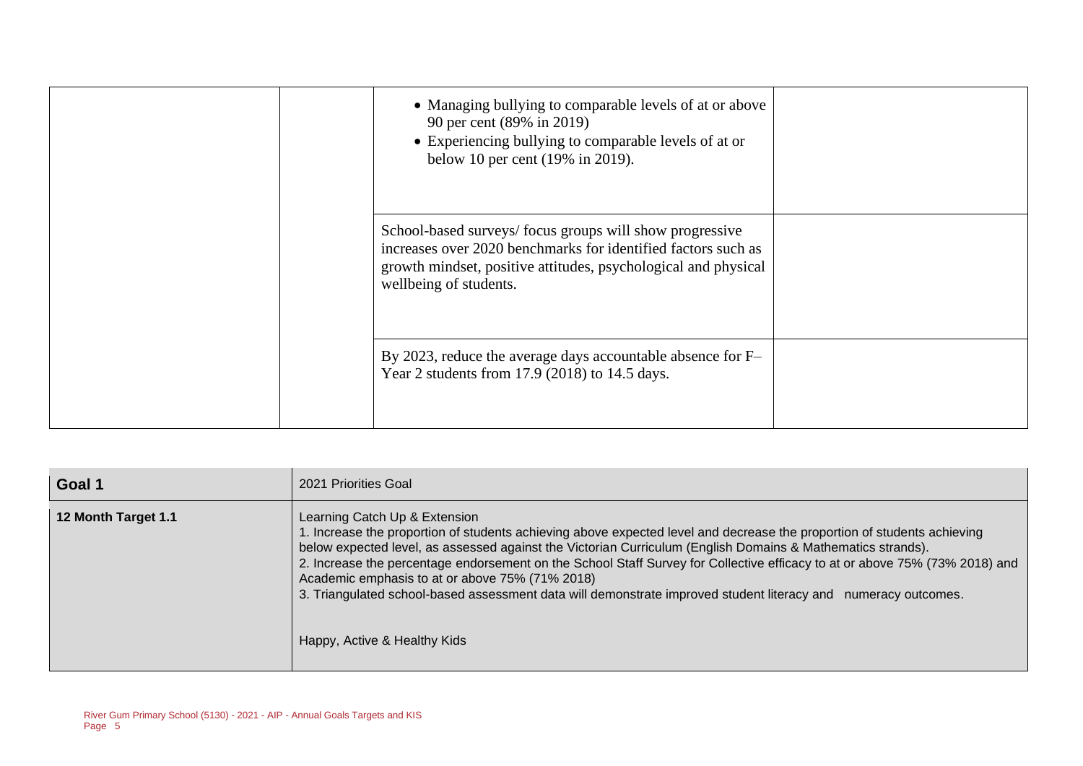| • Managing bullying to comparable levels of at or above<br>90 per cent (89% in 2019)<br>• Experiencing bullying to comparable levels of at or<br>below 10 per cent (19% in 2019).                                    |  |
|----------------------------------------------------------------------------------------------------------------------------------------------------------------------------------------------------------------------|--|
| School-based surveys/focus groups will show progressive<br>increases over 2020 benchmarks for identified factors such as<br>growth mindset, positive attitudes, psychological and physical<br>wellbeing of students. |  |
| By 2023, reduce the average days accountable absence for F-<br>Year 2 students from 17.9 (2018) to 14.5 days.                                                                                                        |  |

| Goal 1              | 2021 Priorities Goal                                                                                                                                                                                                                                                                                                                                                                                                                                                                                                                                                                                           |
|---------------------|----------------------------------------------------------------------------------------------------------------------------------------------------------------------------------------------------------------------------------------------------------------------------------------------------------------------------------------------------------------------------------------------------------------------------------------------------------------------------------------------------------------------------------------------------------------------------------------------------------------|
| 12 Month Target 1.1 | Learning Catch Up & Extension<br>1. Increase the proportion of students achieving above expected level and decrease the proportion of students achieving<br>below expected level, as assessed against the Victorian Curriculum (English Domains & Mathematics strands).<br>2. Increase the percentage endorsement on the School Staff Survey for Collective efficacy to at or above 75% (73% 2018) and<br>Academic emphasis to at or above 75% (71% 2018)<br>3. Triangulated school-based assessment data will demonstrate improved student literacy and<br>numeracy outcomes.<br>Happy, Active & Healthy Kids |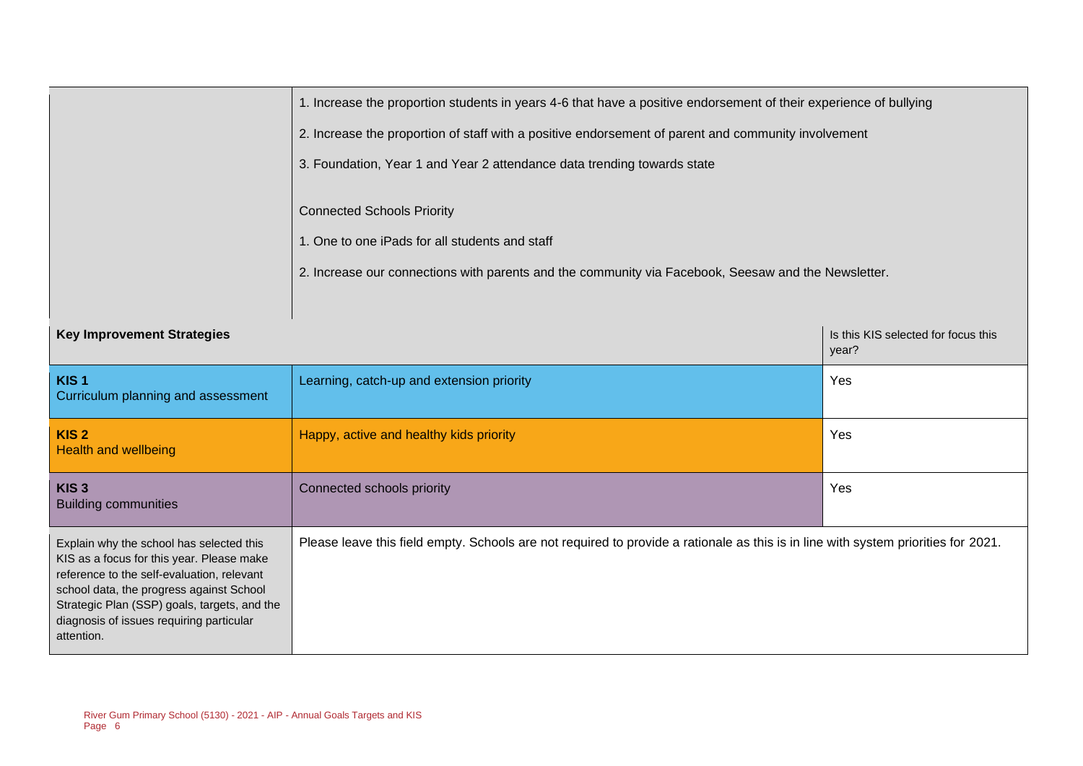|                                                                                                                                                                                                                                                                                           | 1. Increase the proportion students in years 4-6 that have a positive endorsement of their experience of bullying                                                                          |                                              |  |  |  |
|-------------------------------------------------------------------------------------------------------------------------------------------------------------------------------------------------------------------------------------------------------------------------------------------|--------------------------------------------------------------------------------------------------------------------------------------------------------------------------------------------|----------------------------------------------|--|--|--|
|                                                                                                                                                                                                                                                                                           | 2. Increase the proportion of staff with a positive endorsement of parent and community involvement                                                                                        |                                              |  |  |  |
|                                                                                                                                                                                                                                                                                           | 3. Foundation, Year 1 and Year 2 attendance data trending towards state                                                                                                                    |                                              |  |  |  |
|                                                                                                                                                                                                                                                                                           | <b>Connected Schools Priority</b><br>1. One to one iPads for all students and staff<br>2. Increase our connections with parents and the community via Facebook, Seesaw and the Newsletter. |                                              |  |  |  |
|                                                                                                                                                                                                                                                                                           |                                                                                                                                                                                            |                                              |  |  |  |
| <b>Key Improvement Strategies</b>                                                                                                                                                                                                                                                         |                                                                                                                                                                                            | Is this KIS selected for focus this<br>year? |  |  |  |
| KIS <sub>1</sub><br>Curriculum planning and assessment                                                                                                                                                                                                                                    | Learning, catch-up and extension priority                                                                                                                                                  | Yes                                          |  |  |  |
| KIS <sub>2</sub><br><b>Health and wellbeing</b>                                                                                                                                                                                                                                           | Happy, active and healthy kids priority                                                                                                                                                    | Yes                                          |  |  |  |
| KIS <sub>3</sub><br><b>Building communities</b>                                                                                                                                                                                                                                           | Connected schools priority                                                                                                                                                                 | Yes                                          |  |  |  |
| Explain why the school has selected this<br>KIS as a focus for this year. Please make<br>reference to the self-evaluation, relevant<br>school data, the progress against School<br>Strategic Plan (SSP) goals, targets, and the<br>diagnosis of issues requiring particular<br>attention. | Please leave this field empty. Schools are not required to provide a rationale as this is in line with system priorities for 2021.                                                         |                                              |  |  |  |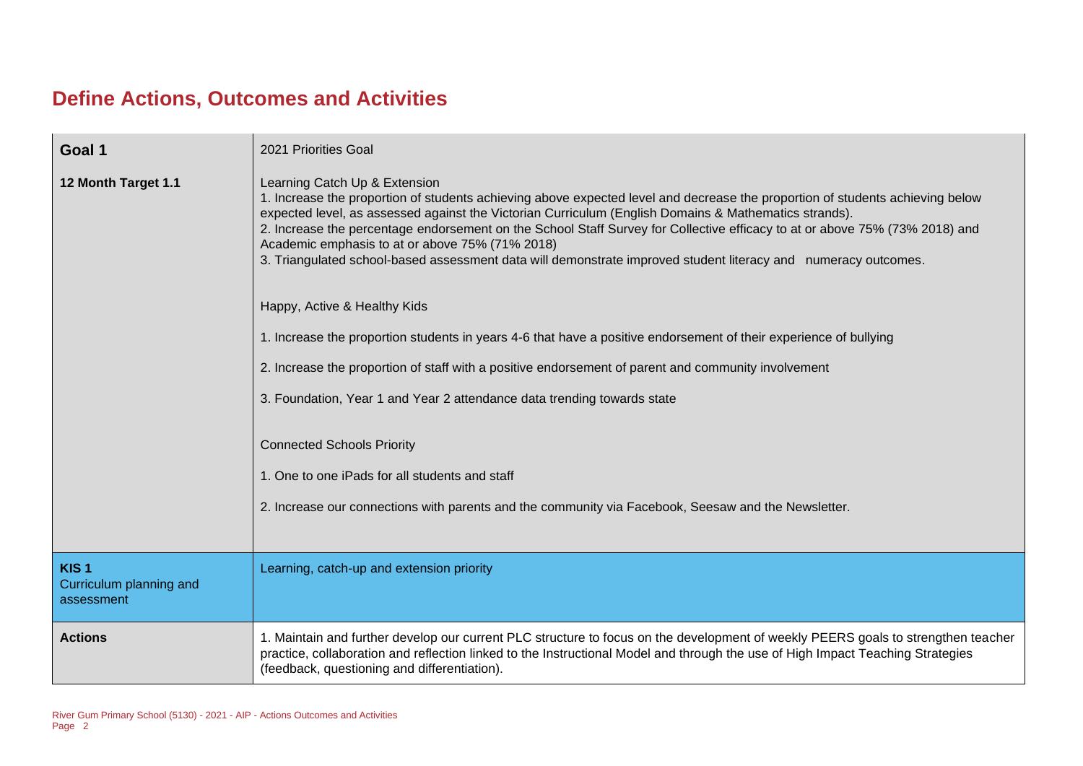## **Define Actions, Outcomes and Activities**

| Goal 1                                                    | 2021 Priorities Goal                                                                                                                                                                                                                                                                                                                                                                                                                                                                                                                                                        |
|-----------------------------------------------------------|-----------------------------------------------------------------------------------------------------------------------------------------------------------------------------------------------------------------------------------------------------------------------------------------------------------------------------------------------------------------------------------------------------------------------------------------------------------------------------------------------------------------------------------------------------------------------------|
| 12 Month Target 1.1                                       | Learning Catch Up & Extension<br>1. Increase the proportion of students achieving above expected level and decrease the proportion of students achieving below<br>expected level, as assessed against the Victorian Curriculum (English Domains & Mathematics strands).<br>2. Increase the percentage endorsement on the School Staff Survey for Collective efficacy to at or above 75% (73% 2018) and<br>Academic emphasis to at or above 75% (71% 2018)<br>3. Triangulated school-based assessment data will demonstrate improved student literacy and numeracy outcomes. |
|                                                           | Happy, Active & Healthy Kids                                                                                                                                                                                                                                                                                                                                                                                                                                                                                                                                                |
|                                                           | 1. Increase the proportion students in years 4-6 that have a positive endorsement of their experience of bullying                                                                                                                                                                                                                                                                                                                                                                                                                                                           |
|                                                           | 2. Increase the proportion of staff with a positive endorsement of parent and community involvement                                                                                                                                                                                                                                                                                                                                                                                                                                                                         |
|                                                           | 3. Foundation, Year 1 and Year 2 attendance data trending towards state                                                                                                                                                                                                                                                                                                                                                                                                                                                                                                     |
|                                                           | <b>Connected Schools Priority</b>                                                                                                                                                                                                                                                                                                                                                                                                                                                                                                                                           |
|                                                           | 1. One to one iPads for all students and staff                                                                                                                                                                                                                                                                                                                                                                                                                                                                                                                              |
|                                                           | 2. Increase our connections with parents and the community via Facebook, Seesaw and the Newsletter.                                                                                                                                                                                                                                                                                                                                                                                                                                                                         |
| KIS <sub>1</sub><br>Curriculum planning and<br>assessment | Learning, catch-up and extension priority                                                                                                                                                                                                                                                                                                                                                                                                                                                                                                                                   |
| <b>Actions</b>                                            | 1. Maintain and further develop our current PLC structure to focus on the development of weekly PEERS goals to strengthen teacher<br>practice, collaboration and reflection linked to the Instructional Model and through the use of High Impact Teaching Strategies<br>(feedback, questioning and differentiation).                                                                                                                                                                                                                                                        |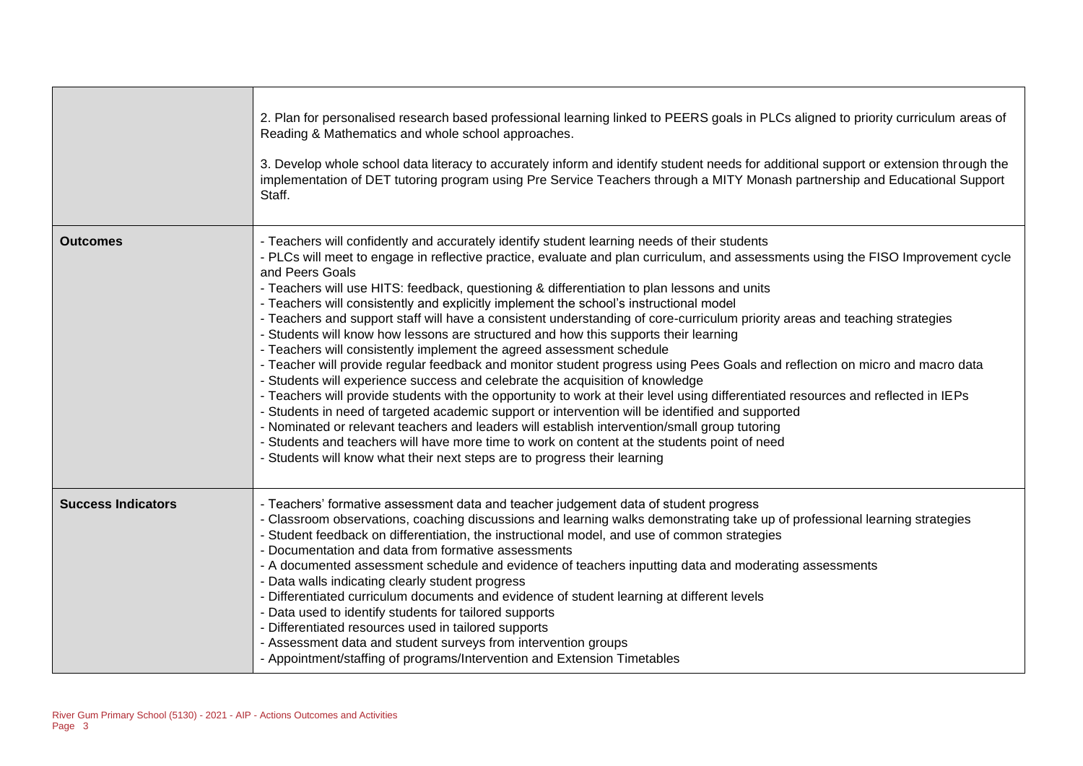|                           | 2. Plan for personalised research based professional learning linked to PEERS goals in PLCs aligned to priority curriculum areas of<br>Reading & Mathematics and whole school approaches.<br>3. Develop whole school data literacy to accurately inform and identify student needs for additional support or extension through the<br>implementation of DET tutoring program using Pre Service Teachers through a MITY Monash partnership and Educational Support<br>Staff.                                                                                                                                                                                                                                                                                                                                                                                                                                                                                                                                                                                                                                                                                                                                                                                                                                                                                                                                                                                                           |
|---------------------------|---------------------------------------------------------------------------------------------------------------------------------------------------------------------------------------------------------------------------------------------------------------------------------------------------------------------------------------------------------------------------------------------------------------------------------------------------------------------------------------------------------------------------------------------------------------------------------------------------------------------------------------------------------------------------------------------------------------------------------------------------------------------------------------------------------------------------------------------------------------------------------------------------------------------------------------------------------------------------------------------------------------------------------------------------------------------------------------------------------------------------------------------------------------------------------------------------------------------------------------------------------------------------------------------------------------------------------------------------------------------------------------------------------------------------------------------------------------------------------------|
| <b>Outcomes</b>           | - Teachers will confidently and accurately identify student learning needs of their students<br>- PLCs will meet to engage in reflective practice, evaluate and plan curriculum, and assessments using the FISO Improvement cycle<br>and Peers Goals<br>- Teachers will use HITS: feedback, questioning & differentiation to plan lessons and units<br>- Teachers will consistently and explicitly implement the school's instructional model<br>- Teachers and support staff will have a consistent understanding of core-curriculum priority areas and teaching strategies<br>- Students will know how lessons are structured and how this supports their learning<br>- Teachers will consistently implement the agreed assessment schedule<br>- Teacher will provide regular feedback and monitor student progress using Pees Goals and reflection on micro and macro data<br>- Students will experience success and celebrate the acquisition of knowledge<br>- Teachers will provide students with the opportunity to work at their level using differentiated resources and reflected in IEPs<br>- Students in need of targeted academic support or intervention will be identified and supported<br>- Nominated or relevant teachers and leaders will establish intervention/small group tutoring<br>- Students and teachers will have more time to work on content at the students point of need<br>- Students will know what their next steps are to progress their learning |
| <b>Success Indicators</b> | - Teachers' formative assessment data and teacher judgement data of student progress<br>Classroom observations, coaching discussions and learning walks demonstrating take up of professional learning strategies<br>- Student feedback on differentiation, the instructional model, and use of common strategies<br>- Documentation and data from formative assessments<br>- A documented assessment schedule and evidence of teachers inputting data and moderating assessments<br>- Data walls indicating clearly student progress<br>- Differentiated curriculum documents and evidence of student learning at different levels<br>Data used to identify students for tailored supports<br>Differentiated resources used in tailored supports<br>- Assessment data and student surveys from intervention groups<br>- Appointment/staffing of programs/Intervention and Extension Timetables                                                                                                                                                                                                                                                                                                                                                                                                                                                                                                                                                                                       |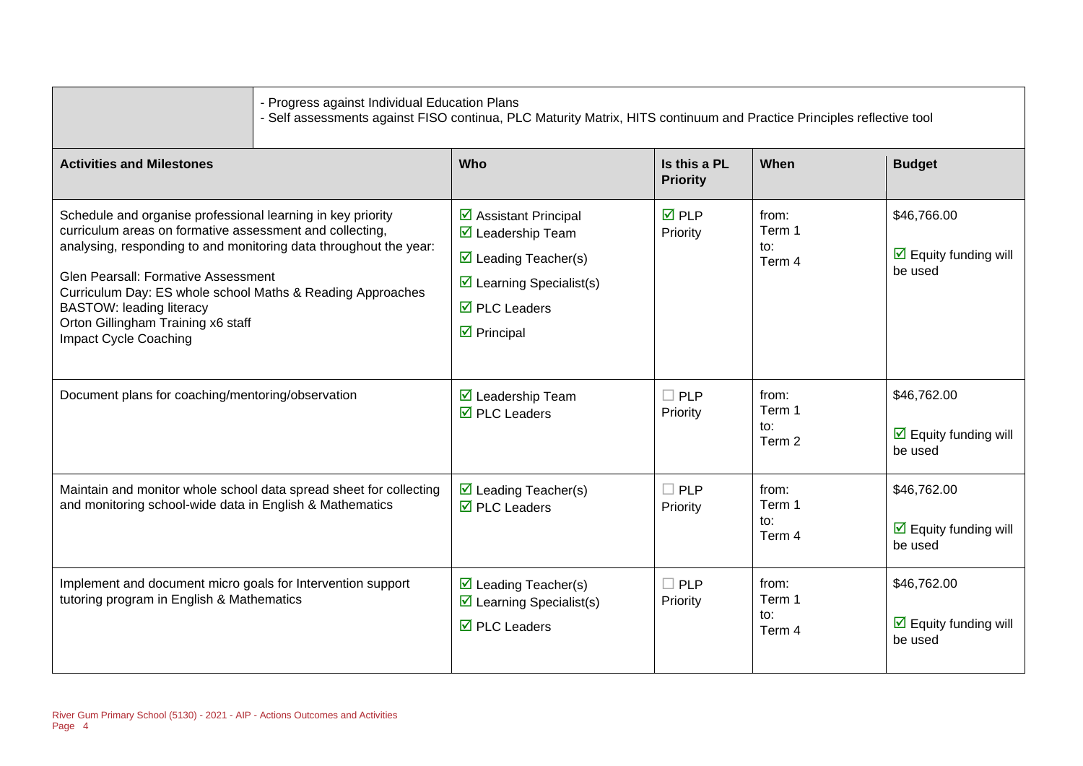|                                                                                                                                                                                                                                                                                                                                                                                                     | - Progress against Individual Education Plans<br>- Self assessments against FISO continua, PLC Maturity Matrix, HITS continuum and Practice Principles reflective tool |                                                                                                                                                                                                                                       |                                 |                                  |                                                                       |
|-----------------------------------------------------------------------------------------------------------------------------------------------------------------------------------------------------------------------------------------------------------------------------------------------------------------------------------------------------------------------------------------------------|------------------------------------------------------------------------------------------------------------------------------------------------------------------------|---------------------------------------------------------------------------------------------------------------------------------------------------------------------------------------------------------------------------------------|---------------------------------|----------------------------------|-----------------------------------------------------------------------|
| <b>Activities and Milestones</b>                                                                                                                                                                                                                                                                                                                                                                    |                                                                                                                                                                        | Who                                                                                                                                                                                                                                   | Is this a PL<br><b>Priority</b> | When                             | <b>Budget</b>                                                         |
| Schedule and organise professional learning in key priority<br>curriculum areas on formative assessment and collecting,<br>analysing, responding to and monitoring data throughout the year:<br>Glen Pearsall: Formative Assessment<br>Curriculum Day: ES whole school Maths & Reading Approaches<br><b>BASTOW: leading literacy</b><br>Orton Gillingham Training x6 staff<br>Impact Cycle Coaching |                                                                                                                                                                        | $\triangleright$ Assistant Principal<br>$\overline{\mathbf{M}}$ Leadership Team<br>$\triangleright$ Leading Teacher(s)<br>$\triangleright$ Learning Specialist(s)<br>$\overline{\boxtimes}$ PLC Leaders<br>$\triangleright$ Principal | $\overline{M}$ PLP<br>Priority  | from:<br>Term 1<br>to:<br>Term 4 | \$46,766.00<br>$\overline{\mathbf{M}}$ Equity funding will<br>be used |
| Document plans for coaching/mentoring/observation                                                                                                                                                                                                                                                                                                                                                   |                                                                                                                                                                        | $\boxtimes$ Leadership Team<br>$\overline{\boxtimes}$ PLC Leaders                                                                                                                                                                     | $\square$ PLP<br>Priority       | from:<br>Term 1<br>to:<br>Term 2 | \$46,762.00<br>$\triangledown$ Equity funding will<br>be used         |
| Maintain and monitor whole school data spread sheet for collecting<br>and monitoring school-wide data in English & Mathematics                                                                                                                                                                                                                                                                      |                                                                                                                                                                        | $\triangleright$ Leading Teacher(s)<br>$\overline{\boxtimes}$ PLC Leaders                                                                                                                                                             | $\square$ PLP<br>Priority       | from:<br>Term 1<br>to:<br>Term 4 | \$46,762.00<br>$\overline{\mathbf{M}}$ Equity funding will<br>be used |
| Implement and document micro goals for Intervention support<br>tutoring program in English & Mathematics                                                                                                                                                                                                                                                                                            |                                                                                                                                                                        | $\triangleright$ Leading Teacher(s)<br>$\triangleright$ Learning Specialist(s)<br>$\overline{\boxtimes}$ PLC Leaders                                                                                                                  | $\square$ PLP<br>Priority       | from:<br>Term 1<br>to:<br>Term 4 | \$46,762.00<br>$\triangleright$ Equity funding will<br>be used        |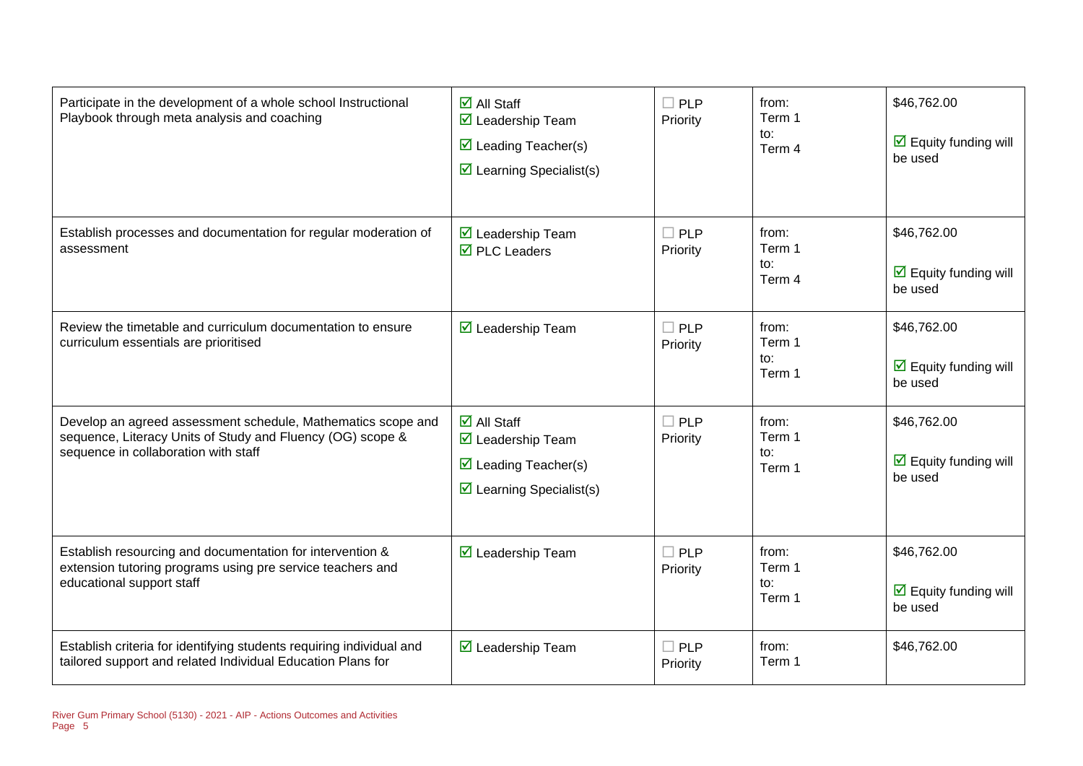| Participate in the development of a whole school Instructional<br>Playbook through meta analysis and coaching                                                      | $\overline{\mathbf{M}}$ All Staff<br>$\boxtimes$ Leadership Team<br>$\triangleright$ Leading Teacher(s)<br>$\triangleright$ Learning Specialist(s)             | $\square$ PLP<br>Priority | from:<br>Term 1<br>to:<br>Term 4 | \$46,762.00<br>$\overline{\mathbf{y}}$ Equity funding will<br>be used |
|--------------------------------------------------------------------------------------------------------------------------------------------------------------------|----------------------------------------------------------------------------------------------------------------------------------------------------------------|---------------------------|----------------------------------|-----------------------------------------------------------------------|
| Establish processes and documentation for regular moderation of<br>assessment                                                                                      | $\boxtimes$ Leadership Team<br>$\overline{\boxtimes}$ PLC Leaders                                                                                              | $\square$ PLP<br>Priority | from:<br>Term 1<br>to:<br>Term 4 | \$46,762.00<br>$\triangleright$ Equity funding will<br>be used        |
| Review the timetable and curriculum documentation to ensure<br>curriculum essentials are prioritised                                                               | $\boxtimes$ Leadership Team                                                                                                                                    | $\square$ PLP<br>Priority | from:<br>Term 1<br>to:<br>Term 1 | \$46,762.00<br>$\overline{\mathbf{M}}$ Equity funding will<br>be used |
| Develop an agreed assessment schedule, Mathematics scope and<br>sequence, Literacy Units of Study and Fluency (OG) scope &<br>sequence in collaboration with staff | $\overline{\mathbf{M}}$ All Staff<br>$\overline{\mathbf{M}}$ Leadership Team<br>$\triangleright$ Leading Teacher(s)<br>$\triangleright$ Learning Specialist(s) | $\square$ PLP<br>Priority | from:<br>Term 1<br>to:<br>Term 1 | \$46,762.00<br>$\overline{\mathbf{M}}$ Equity funding will<br>be used |
| Establish resourcing and documentation for intervention &<br>extension tutoring programs using pre service teachers and<br>educational support staff               | $\boxtimes$ Leadership Team                                                                                                                                    | $\square$ PLP<br>Priority | from:<br>Term 1<br>to:<br>Term 1 | \$46,762.00<br>$\overline{\mathbf{M}}$ Equity funding will<br>be used |
| Establish criteria for identifying students requiring individual and<br>tailored support and related Individual Education Plans for                                | $\boxtimes$ Leadership Team                                                                                                                                    | $\square$ PLP<br>Priority | from:<br>Term 1                  | \$46,762.00                                                           |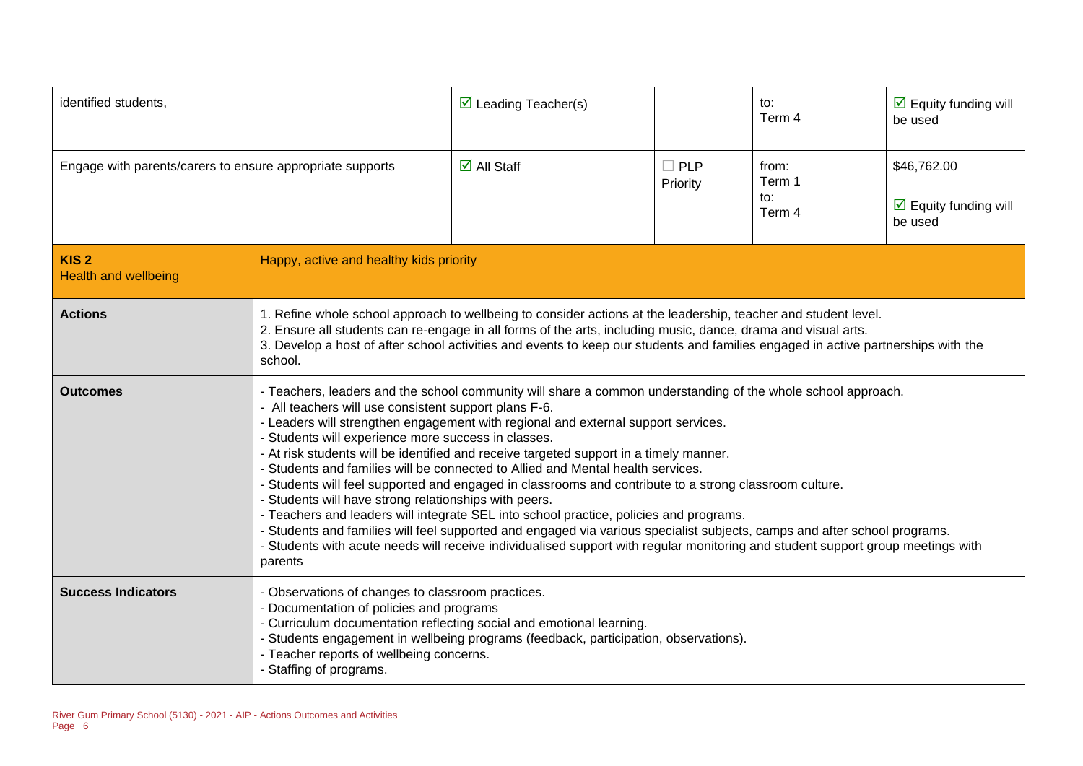| identified students,                                      |                                                                                                                                                                                                                                                                                                                                                                                                                                                                                                                                                                                                                                                                                                                                                                                                                                                                                                                                                                                                                                      | $\triangleright$ Leading Teacher(s) |                           | to:<br>Term 4                    | $\overline{\mathbf{M}}$ Equity funding will<br>be used                |
|-----------------------------------------------------------|--------------------------------------------------------------------------------------------------------------------------------------------------------------------------------------------------------------------------------------------------------------------------------------------------------------------------------------------------------------------------------------------------------------------------------------------------------------------------------------------------------------------------------------------------------------------------------------------------------------------------------------------------------------------------------------------------------------------------------------------------------------------------------------------------------------------------------------------------------------------------------------------------------------------------------------------------------------------------------------------------------------------------------------|-------------------------------------|---------------------------|----------------------------------|-----------------------------------------------------------------------|
| Engage with parents/carers to ensure appropriate supports |                                                                                                                                                                                                                                                                                                                                                                                                                                                                                                                                                                                                                                                                                                                                                                                                                                                                                                                                                                                                                                      | $\overline{\mathsf{M}}$ All Staff   | $\square$ PLP<br>Priority | from:<br>Term 1<br>to:<br>Term 4 | \$46,762.00<br>$\overline{\mathbf{y}}$ Equity funding will<br>be used |
| KIS <sub>2</sub><br><b>Health and wellbeing</b>           | Happy, active and healthy kids priority                                                                                                                                                                                                                                                                                                                                                                                                                                                                                                                                                                                                                                                                                                                                                                                                                                                                                                                                                                                              |                                     |                           |                                  |                                                                       |
| <b>Actions</b>                                            | 1. Refine whole school approach to wellbeing to consider actions at the leadership, teacher and student level.<br>2. Ensure all students can re-engage in all forms of the arts, including music, dance, drama and visual arts.<br>3. Develop a host of after school activities and events to keep our students and families engaged in active partnerships with the<br>school.                                                                                                                                                                                                                                                                                                                                                                                                                                                                                                                                                                                                                                                      |                                     |                           |                                  |                                                                       |
| <b>Outcomes</b>                                           | - Teachers, leaders and the school community will share a common understanding of the whole school approach.<br>- All teachers will use consistent support plans F-6.<br>- Leaders will strengthen engagement with regional and external support services.<br>- Students will experience more success in classes.<br>- At risk students will be identified and receive targeted support in a timely manner.<br>Students and families will be connected to Allied and Mental health services.<br>- Students will feel supported and engaged in classrooms and contribute to a strong classroom culture.<br>- Students will have strong relationships with peers.<br>- Teachers and leaders will integrate SEL into school practice, policies and programs.<br>- Students and families will feel supported and engaged via various specialist subjects, camps and after school programs.<br>- Students with acute needs will receive individualised support with regular monitoring and student support group meetings with<br>parents |                                     |                           |                                  |                                                                       |
| <b>Success Indicators</b>                                 | - Observations of changes to classroom practices.<br>Documentation of policies and programs<br>- Curriculum documentation reflecting social and emotional learning.<br>- Students engagement in wellbeing programs (feedback, participation, observations).<br>- Teacher reports of wellbeing concerns.<br>- Staffing of programs.                                                                                                                                                                                                                                                                                                                                                                                                                                                                                                                                                                                                                                                                                                   |                                     |                           |                                  |                                                                       |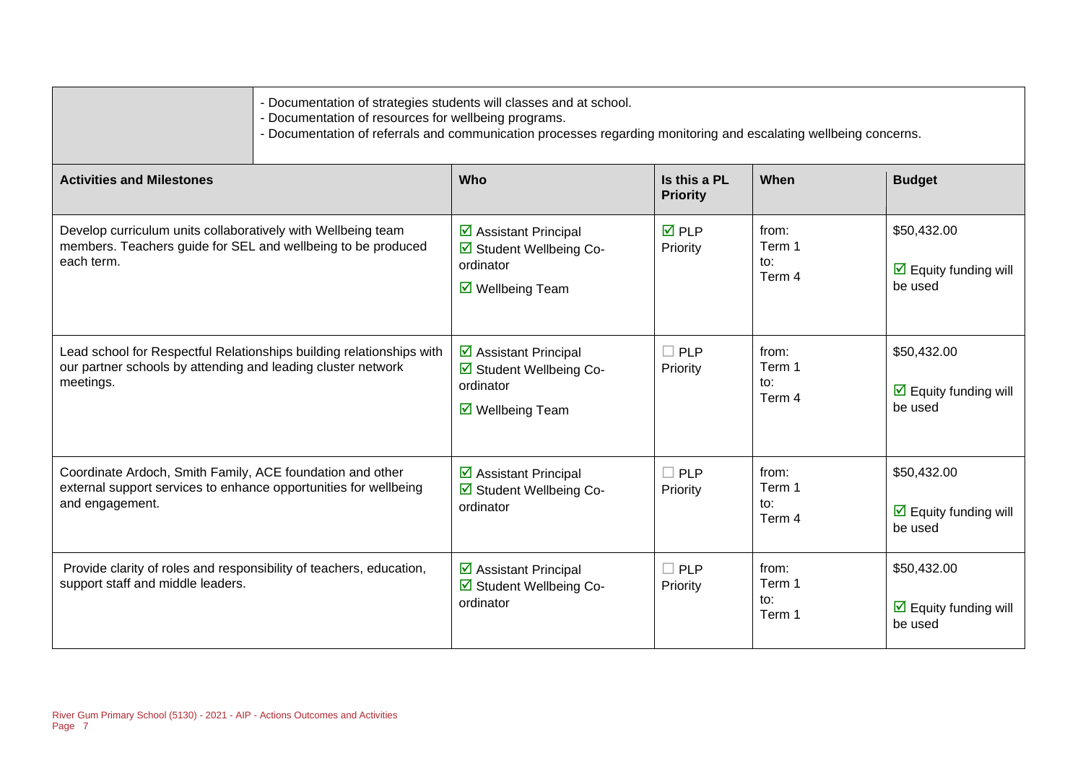| - Documentation of strategies students will classes and at school.<br>- Documentation of resources for wellbeing programs.<br>- Documentation of referrals and communication processes regarding monitoring and escalating wellbeing concerns. |                                                                                                                        |                                 |                                  |                                                                       |  |
|------------------------------------------------------------------------------------------------------------------------------------------------------------------------------------------------------------------------------------------------|------------------------------------------------------------------------------------------------------------------------|---------------------------------|----------------------------------|-----------------------------------------------------------------------|--|
| <b>Activities and Milestones</b>                                                                                                                                                                                                               | Who                                                                                                                    | Is this a PL<br><b>Priority</b> | When                             | <b>Budget</b>                                                         |  |
| Develop curriculum units collaboratively with Wellbeing team<br>members. Teachers guide for SEL and wellbeing to be produced<br>each term.                                                                                                     | ☑ Assistant Principal<br>☑ Student Wellbeing Co-<br>ordinator<br>☑ Wellbeing Team                                      | <b>☑</b> PLP<br>Priority        | from:<br>Term 1<br>to:<br>Term 4 | \$50,432.00<br>$\overline{\mathbf{M}}$ Equity funding will<br>be used |  |
| Lead school for Respectful Relationships building relationships with<br>our partner schools by attending and leading cluster network<br>meetings.                                                                                              | $\triangleright$ Assistant Principal<br>☑ Student Wellbeing Co-<br>ordinator<br>$\overline{\mathbf{M}}$ Wellbeing Team | $\Box$ PLP<br>Priority          | from:<br>Term 1<br>to:<br>Term 4 | \$50,432.00<br>$\overline{\mathbf{y}}$ Equity funding will<br>be used |  |
| Coordinate Ardoch, Smith Family, ACE foundation and other<br>external support services to enhance opportunities for wellbeing<br>and engagement.                                                                                               | $\triangleright$ Assistant Principal<br>☑ Student Wellbeing Co-<br>ordinator                                           | $\square$ PLP<br>Priority       | from:<br>Term 1<br>to:<br>Term 4 | \$50,432.00<br>$\overline{\mathbf{M}}$ Equity funding will<br>be used |  |
| Provide clarity of roles and responsibility of teachers, education,<br>support staff and middle leaders.                                                                                                                                       | $\triangleright$ Assistant Principal<br>☑ Student Wellbeing Co-<br>ordinator                                           | $\Box$ PLP<br>Priority          | from:<br>Term 1<br>to:<br>Term 1 | \$50,432.00<br>$\overline{\mathbf{M}}$ Equity funding will<br>be used |  |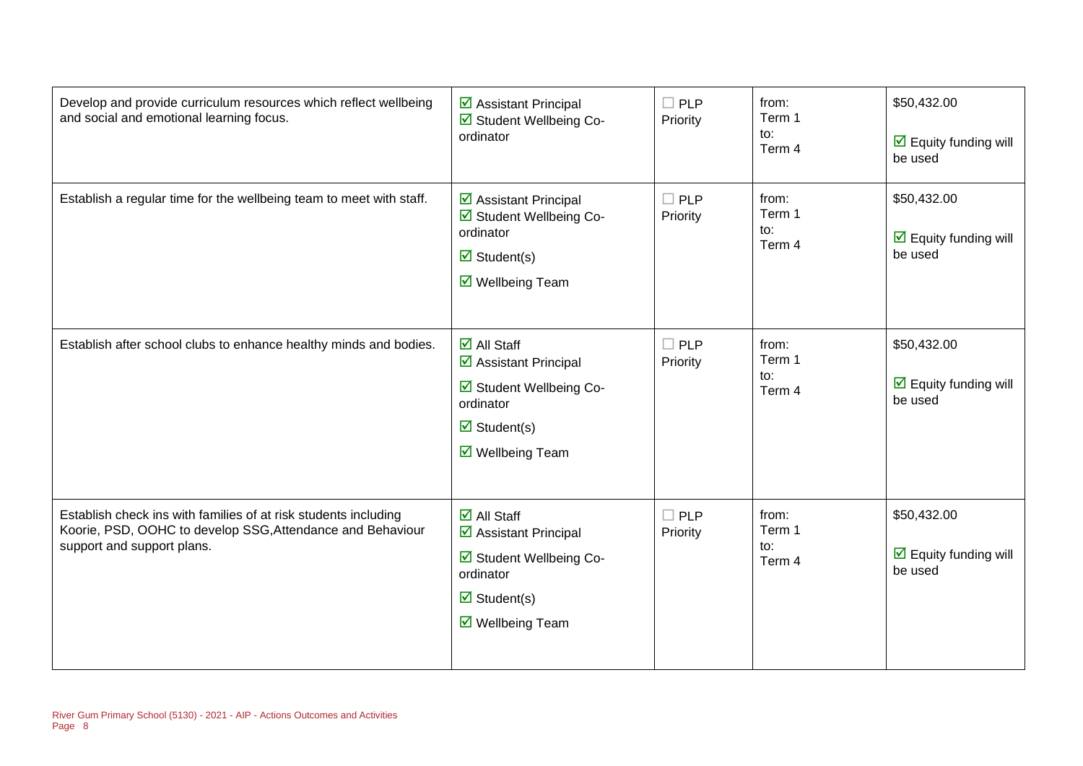| Develop and provide curriculum resources which reflect wellbeing<br>and social and emotional learning focus.                                                | ☑ Assistant Principal<br>☑ Student Wellbeing Co-<br>ordinator                                                                                                                              | $\Box$ PLP<br>Priority    | from:<br>Term 1<br>to:<br>Term 4 | \$50,432.00<br>$\overline{\mathbf{y}}$ Equity funding will<br>be used |
|-------------------------------------------------------------------------------------------------------------------------------------------------------------|--------------------------------------------------------------------------------------------------------------------------------------------------------------------------------------------|---------------------------|----------------------------------|-----------------------------------------------------------------------|
| Establish a regular time for the wellbeing team to meet with staff.                                                                                         | $\triangleright$ Assistant Principal<br>☑ Student Wellbeing Co-<br>ordinator<br>$\triangledown$ Student(s)<br>$\overline{\mathbf{M}}$ Wellbeing Team                                       | $\square$ PLP<br>Priority | from:<br>Term 1<br>to:<br>Term 4 | \$50,432.00<br>$\overline{\mathbf{y}}$ Equity funding will<br>be used |
| Establish after school clubs to enhance healthy minds and bodies.                                                                                           | $\overline{\mathbf{d}}$ All Staff<br>☑ Assistant Principal<br>Student Wellbeing Co-<br>ordinator<br>$\triangledown$ Student(s)<br>$\triangledown$ Wellbeing Team                           | $\square$ PLP<br>Priority | from:<br>Term 1<br>to:<br>Term 4 | \$50,432.00<br>$\overline{\mathbf{M}}$ Equity funding will<br>be used |
| Establish check ins with families of at risk students including<br>Koorie, PSD, OOHC to develop SSG, Attendance and Behaviour<br>support and support plans. | $\overline{\mathsf{d}}$ All Staff<br>$\triangleright$ Assistant Principal<br>☑ Student Wellbeing Co-<br>ordinator<br>$\triangleright$ Student(s)<br>$\overline{\mathsf{M}}$ Wellbeing Team | $\square$ PLP<br>Priority | from:<br>Term 1<br>to:<br>Term 4 | \$50,432.00<br>$\overline{\mathbf{y}}$ Equity funding will<br>be used |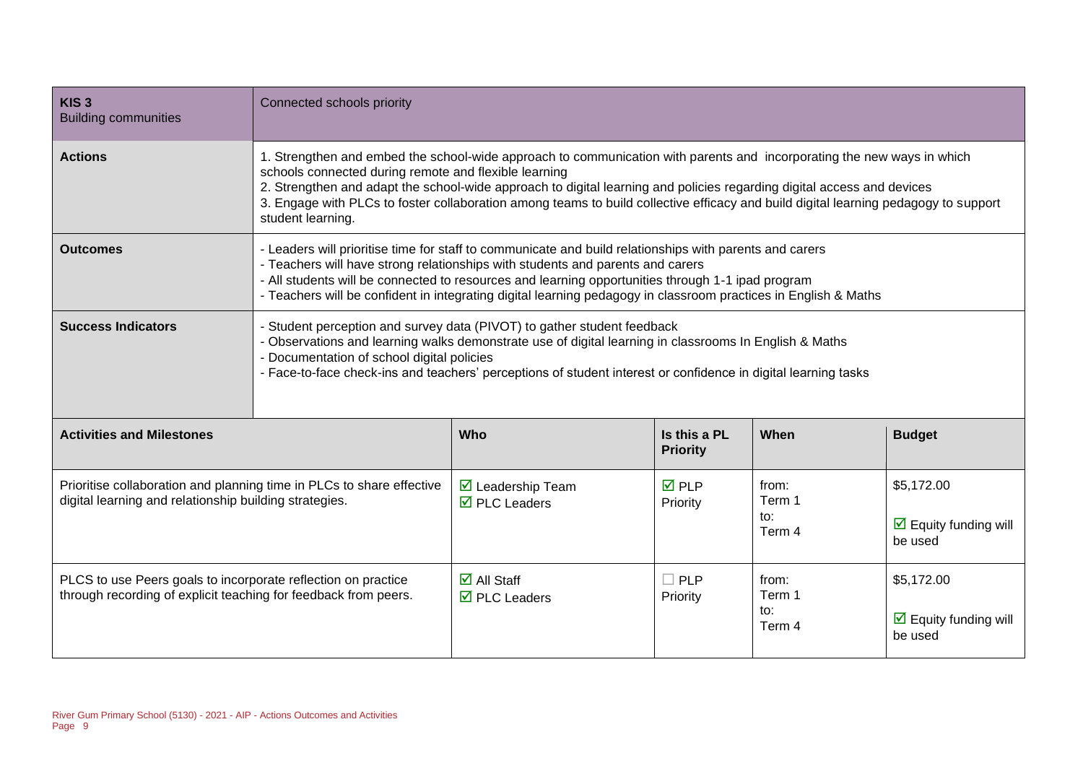| KIS <sub>3</sub><br><b>Building communities</b>                                                                                  | Connected schools priority                                                                                                                                                                                                                                                                                                                                                                                                                                            |                                                                               |                                 |                                  |                                                                      |  |
|----------------------------------------------------------------------------------------------------------------------------------|-----------------------------------------------------------------------------------------------------------------------------------------------------------------------------------------------------------------------------------------------------------------------------------------------------------------------------------------------------------------------------------------------------------------------------------------------------------------------|-------------------------------------------------------------------------------|---------------------------------|----------------------------------|----------------------------------------------------------------------|--|
| <b>Actions</b>                                                                                                                   | 1. Strengthen and embed the school-wide approach to communication with parents and incorporating the new ways in which<br>schools connected during remote and flexible learning<br>2. Strengthen and adapt the school-wide approach to digital learning and policies regarding digital access and devices<br>3. Engage with PLCs to foster collaboration among teams to build collective efficacy and build digital learning pedagogy to support<br>student learning. |                                                                               |                                 |                                  |                                                                      |  |
| <b>Outcomes</b>                                                                                                                  | - Leaders will prioritise time for staff to communicate and build relationships with parents and carers<br>- Teachers will have strong relationships with students and parents and carers<br>- All students will be connected to resources and learning opportunities through 1-1 ipad program<br>- Teachers will be confident in integrating digital learning pedagogy in classroom practices in English & Maths                                                     |                                                                               |                                 |                                  |                                                                      |  |
| <b>Success Indicators</b>                                                                                                        | Student perception and survey data (PIVOT) to gather student feedback<br>Observations and learning walks demonstrate use of digital learning in classrooms In English & Maths<br>Documentation of school digital policies<br>- Face-to-face check-ins and teachers' perceptions of student interest or confidence in digital learning tasks                                                                                                                           |                                                                               |                                 |                                  |                                                                      |  |
| <b>Activities and Milestones</b>                                                                                                 |                                                                                                                                                                                                                                                                                                                                                                                                                                                                       | Who                                                                           | Is this a PL<br><b>Priority</b> | When                             | <b>Budget</b>                                                        |  |
| Prioritise collaboration and planning time in PLCs to share effective<br>digital learning and relationship building strategies.  |                                                                                                                                                                                                                                                                                                                                                                                                                                                                       | $\overline{\mathbf{M}}$ Leadership Team<br>$\overline{\boxtimes}$ PLC Leaders | $\overline{M}$ PLP<br>Priority  | from:<br>Term 1<br>to:<br>Term 4 | \$5,172.00<br>$\overline{\mathbf{M}}$ Equity funding will<br>be used |  |
| PLCS to use Peers goals to incorporate reflection on practice<br>through recording of explicit teaching for feedback from peers. |                                                                                                                                                                                                                                                                                                                                                                                                                                                                       | $\overline{\mathbf{M}}$ All Staff<br>$\overline{\boxtimes}$ PLC Leaders       | $\Box$ PLP<br>Priority          | from:<br>Term 1<br>to:<br>Term 4 | \$5,172.00<br>$\triangleright$ Equity funding will<br>be used        |  |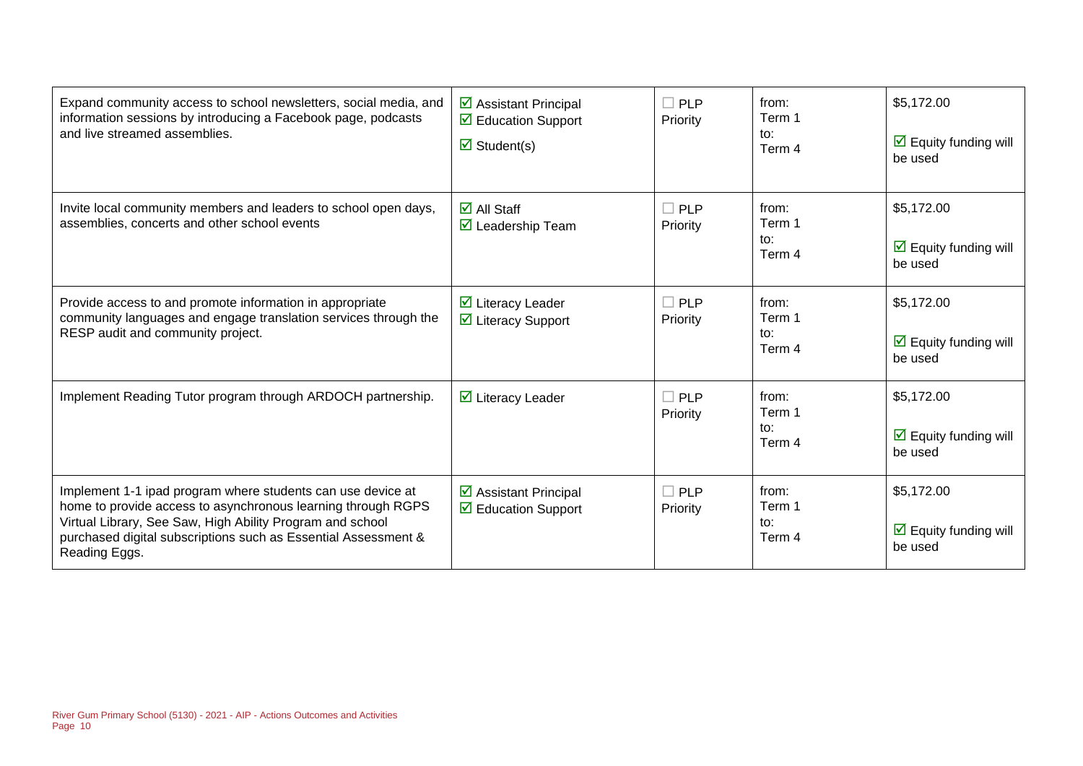| Expand community access to school newsletters, social media, and<br>information sessions by introducing a Facebook page, podcasts<br>and live streamed assemblies.                                                                                                          | $\triangleright$ Assistant Principal<br>$\triangleright$ Education Support<br>$\triangleright$ Student(s) | $\Box$ PLP<br>Priority | from:<br>Term 1<br>to:<br>Term 4 | \$5,172.00<br>$\triangledown$ Equity funding will<br>be used         |
|-----------------------------------------------------------------------------------------------------------------------------------------------------------------------------------------------------------------------------------------------------------------------------|-----------------------------------------------------------------------------------------------------------|------------------------|----------------------------------|----------------------------------------------------------------------|
| Invite local community members and leaders to school open days,<br>assemblies, concerts and other school events                                                                                                                                                             | $\overline{\mathbf{M}}$ All Staff<br>$\triangleright$ Leadership Team                                     | $\Box$ PLP<br>Priority | from:<br>Term 1<br>to:<br>Term 4 | \$5,172.00<br>$\triangleright$ Equity funding will<br>be used        |
| Provide access to and promote information in appropriate<br>community languages and engage translation services through the<br>RESP audit and community project.                                                                                                            | $\triangleright$ Literacy Leader<br>☑ Literacy Support                                                    | $\Box$ PLP<br>Priority | from:<br>Term 1<br>to:<br>Term 4 | \$5,172.00<br>$\triangleright$ Equity funding will<br>be used        |
| Implement Reading Tutor program through ARDOCH partnership.                                                                                                                                                                                                                 | $\overline{\mathbf{y}}$ Literacy Leader                                                                   | $\Box$ PLP<br>Priority | from:<br>Term 1<br>to:<br>Term 4 | \$5,172.00<br>$\triangleright$ Equity funding will<br>be used        |
| Implement 1-1 ipad program where students can use device at<br>home to provide access to asynchronous learning through RGPS<br>Virtual Library, See Saw, High Ability Program and school<br>purchased digital subscriptions such as Essential Assessment &<br>Reading Eggs. | $\triangleright$ Assistant Principal<br>$\Box$ Education Support                                          | $\Box$ PLP<br>Priority | from:<br>Term 1<br>to:<br>Term 4 | \$5,172.00<br>$\overline{\mathbf{y}}$ Equity funding will<br>be used |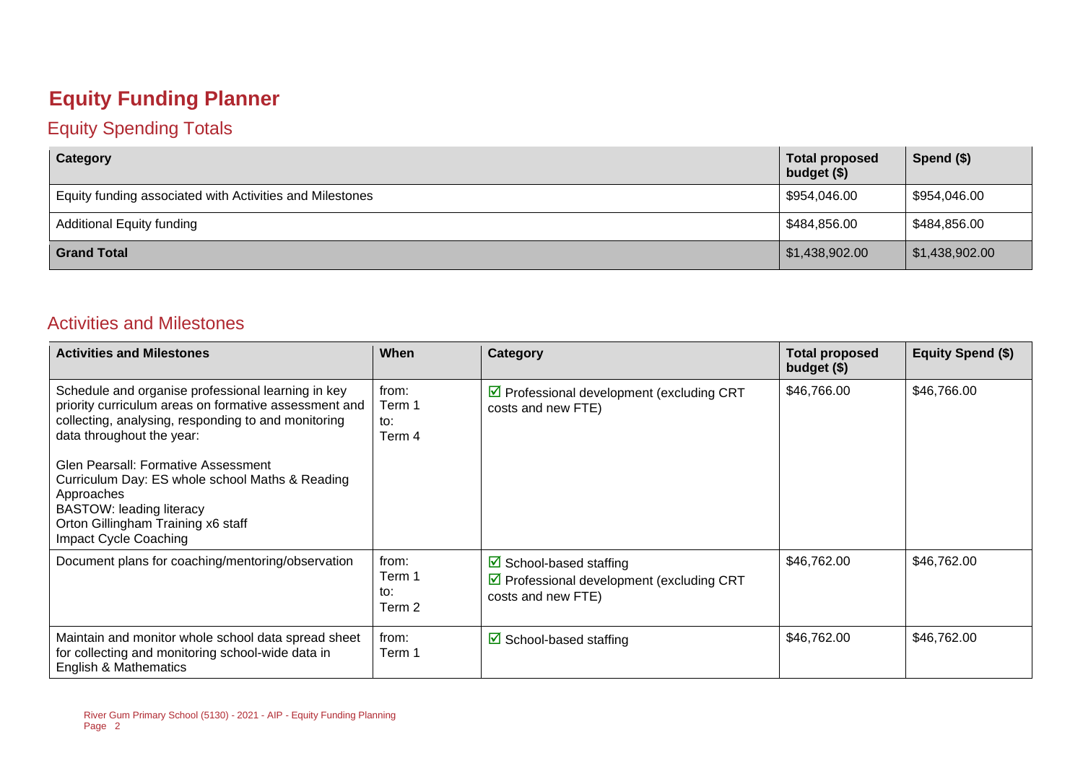#### **Equity Funding Planner**

#### Equity Spending Totals

| Category                                                 | <b>Total proposed</b><br>budget (\$) | Spend $($)$    |
|----------------------------------------------------------|--------------------------------------|----------------|
| Equity funding associated with Activities and Milestones | \$954,046.00                         | \$954,046.00   |
| <b>Additional Equity funding</b>                         | \$484,856.00                         | \$484,856.00   |
| <b>Grand Total</b>                                       | \$1,438,902.00                       | \$1,438,902.00 |

#### Activities and Milestones

| <b>Activities and Milestones</b>                                                                                                                                                                                                                                                                                                                                                                                 | When                             | Category                                                                                                           | <b>Total proposed</b><br>budget (\$) | <b>Equity Spend (\$)</b> |
|------------------------------------------------------------------------------------------------------------------------------------------------------------------------------------------------------------------------------------------------------------------------------------------------------------------------------------------------------------------------------------------------------------------|----------------------------------|--------------------------------------------------------------------------------------------------------------------|--------------------------------------|--------------------------|
| Schedule and organise professional learning in key<br>priority curriculum areas on formative assessment and<br>collecting, analysing, responding to and monitoring<br>data throughout the year:<br>Glen Pearsall: Formative Assessment<br>Curriculum Day: ES whole school Maths & Reading<br>Approaches<br><b>BASTOW: leading literacy</b><br>Orton Gillingham Training x6 staff<br><b>Impact Cycle Coaching</b> | from:<br>Term 1<br>to:<br>Term 4 | ☑ Professional development (excluding CRT<br>costs and new FTE)                                                    | \$46,766.00                          | \$46,766.00              |
| Document plans for coaching/mentoring/observation                                                                                                                                                                                                                                                                                                                                                                | from:<br>Term 1<br>to:<br>Term 2 | $\boxtimes$ School-based staffing<br>$\triangledown$ Professional development (excluding CRT<br>costs and new FTE) | \$46,762.00                          | \$46,762.00              |
| Maintain and monitor whole school data spread sheet<br>for collecting and monitoring school-wide data in<br>English & Mathematics                                                                                                                                                                                                                                                                                | from:<br>Term 1                  | $\boxtimes$ School-based staffing                                                                                  | \$46,762.00                          | \$46,762.00              |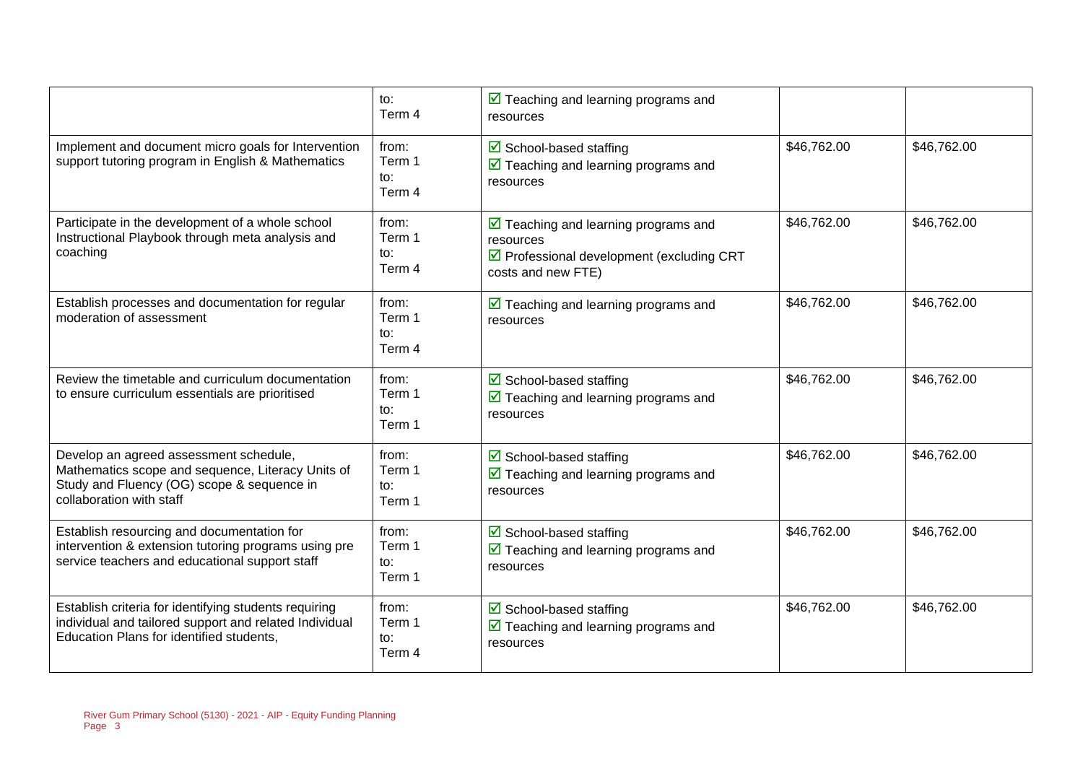|                                                                                                                                                                       | $\mathsf{to}:$<br>Term 4                    | $\triangledown$ Teaching and learning programs and<br>resources                                                                                  |             |             |
|-----------------------------------------------------------------------------------------------------------------------------------------------------------------------|---------------------------------------------|--------------------------------------------------------------------------------------------------------------------------------------------------|-------------|-------------|
| Implement and document micro goals for Intervention<br>support tutoring program in English & Mathematics                                                              | from:<br>Term 1<br>to:<br>Term 4            | ☑ School-based staffing<br>$\triangleright$ Teaching and learning programs and<br>resources                                                      | \$46,762.00 | \$46,762.00 |
| Participate in the development of a whole school<br>Instructional Playbook through meta analysis and<br>coaching                                                      | from:<br>Term 1<br>to:<br>Term 4            | $\triangledown$ Teaching and learning programs and<br>resources<br>$\triangledown$ Professional development (excluding CRT<br>costs and new FTE) | \$46,762.00 | \$46,762.00 |
| Establish processes and documentation for regular<br>moderation of assessment                                                                                         | from:<br>Term 1<br>to:<br>Term 4            | $\triangledown$ Teaching and learning programs and<br>resources                                                                                  | \$46,762.00 | \$46,762.00 |
| Review the timetable and curriculum documentation<br>to ensure curriculum essentials are prioritised                                                                  | from:<br>Term 1<br>to:<br>Term 1            | $\triangleright$ School-based staffing<br>$\overline{\mathbf{M}}$ Teaching and learning programs and<br>resources                                | \$46,762.00 | \$46,762.00 |
| Develop an agreed assessment schedule,<br>Mathematics scope and sequence, Literacy Units of<br>Study and Fluency (OG) scope & sequence in<br>collaboration with staff | from:<br>Term 1<br>to:<br>Term 1            | $\triangleright$ School-based staffing<br>$\overline{\mathbf{M}}$ Teaching and learning programs and<br>resources                                | \$46,762.00 | \$46,762.00 |
| Establish resourcing and documentation for<br>intervention & extension tutoring programs using pre<br>service teachers and educational support staff                  | from:<br>Term 1<br>$\mathsf{to}:$<br>Term 1 | $\triangleright$ School-based staffing<br>$\overline{\mathbf{M}}$ Teaching and learning programs and<br>resources                                | \$46,762.00 | \$46,762.00 |
| Establish criteria for identifying students requiring<br>individual and tailored support and related Individual<br>Education Plans for identified students,           | from:<br>Term 1<br>to:<br>Term 4            | ☑ School-based staffing<br>$\triangledown$ Teaching and learning programs and<br>resources                                                       | \$46,762.00 | \$46,762.00 |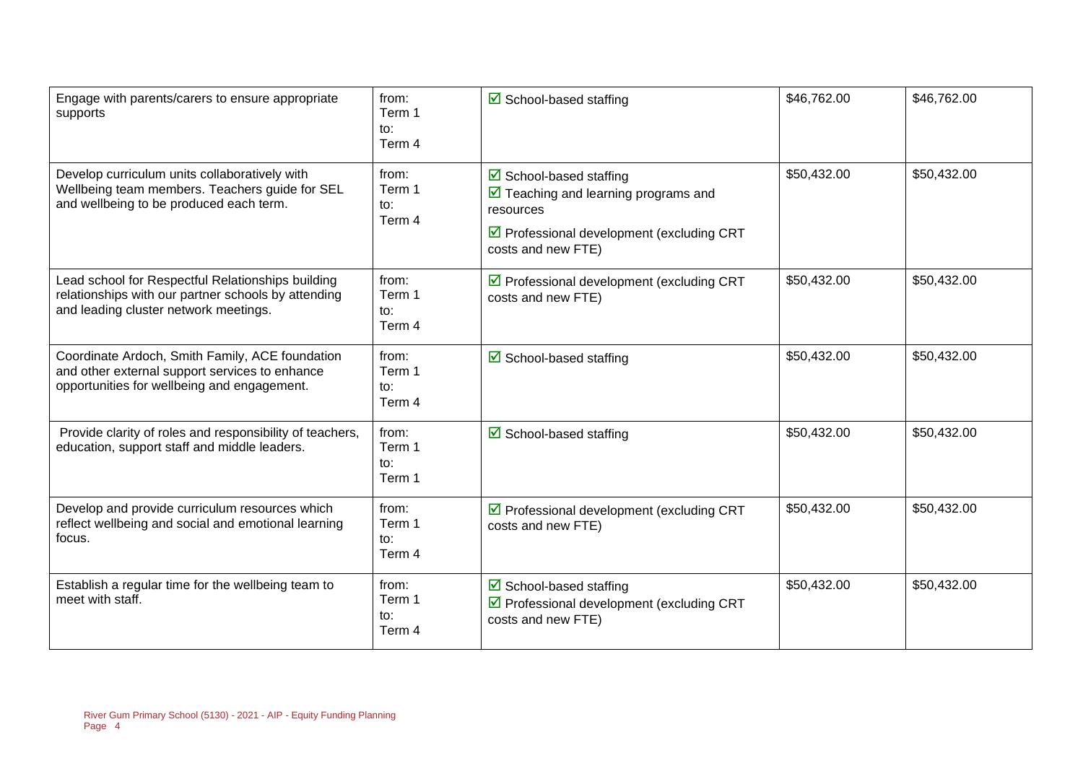| Engage with parents/carers to ensure appropriate<br>supports                                                                                      | from:<br>Term 1<br>to:<br>Term 4 | $\triangleright$ School-based staffing                                                                                                                                                      | \$46,762.00 | \$46,762.00 |
|---------------------------------------------------------------------------------------------------------------------------------------------------|----------------------------------|---------------------------------------------------------------------------------------------------------------------------------------------------------------------------------------------|-------------|-------------|
| Develop curriculum units collaboratively with<br>Wellbeing team members. Teachers guide for SEL<br>and wellbeing to be produced each term.        | from:<br>Term 1<br>to:<br>Term 4 | $\triangleright$ School-based staffing<br>$\triangleright$ Teaching and learning programs and<br>resources<br>$\triangledown$ Professional development (excluding CRT<br>costs and new FTE) | \$50,432.00 | \$50,432.00 |
| Lead school for Respectful Relationships building<br>relationships with our partner schools by attending<br>and leading cluster network meetings. | from:<br>Term 1<br>to:<br>Term 4 | $\triangledown$ Professional development (excluding CRT<br>costs and new FTE)                                                                                                               | \$50,432.00 | \$50,432.00 |
| Coordinate Ardoch, Smith Family, ACE foundation<br>and other external support services to enhance<br>opportunities for wellbeing and engagement.  | from:<br>Term 1<br>to:<br>Term 4 | $\triangleright$ School-based staffing                                                                                                                                                      | \$50,432.00 | \$50,432.00 |
| Provide clarity of roles and responsibility of teachers,<br>education, support staff and middle leaders.                                          | from:<br>Term 1<br>to:<br>Term 1 | ☑ School-based staffing                                                                                                                                                                     | \$50,432.00 | \$50,432.00 |
| Develop and provide curriculum resources which<br>reflect wellbeing and social and emotional learning<br>focus.                                   | from:<br>Term 1<br>to:<br>Term 4 | $\triangleright$ Professional development (excluding CRT<br>costs and new FTE)                                                                                                              | \$50,432.00 | \$50,432.00 |
| Establish a regular time for the wellbeing team to<br>meet with staff.                                                                            | from:<br>Term 1<br>to:<br>Term 4 | $\triangledown$ School-based staffing<br>☑ Professional development (excluding CRT<br>costs and new FTE)                                                                                    | \$50,432.00 | \$50,432.00 |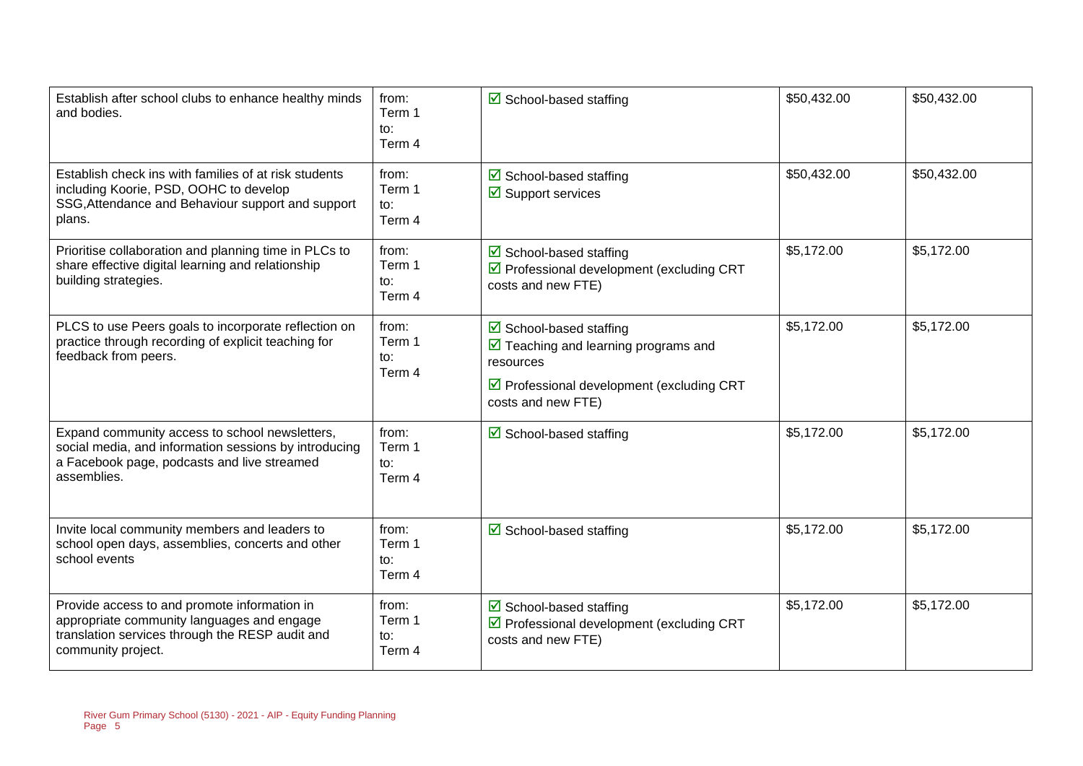| Establish after school clubs to enhance healthy minds<br>and bodies.                                                                                                  | from:<br>Term 1<br>to:<br>Term 4 | $\triangleright$ School-based staffing                                                                                                                                                | \$50,432.00 | \$50,432.00 |
|-----------------------------------------------------------------------------------------------------------------------------------------------------------------------|----------------------------------|---------------------------------------------------------------------------------------------------------------------------------------------------------------------------------------|-------------|-------------|
| Establish check ins with families of at risk students<br>including Koorie, PSD, OOHC to develop<br>SSG, Attendance and Behaviour support and support<br>plans.        | from:<br>Term 1<br>to:<br>Term 4 | $\triangleright$ School-based staffing<br>$\overline{\mathbf{y}}$ Support services                                                                                                    | \$50,432.00 | \$50,432.00 |
| Prioritise collaboration and planning time in PLCs to<br>share effective digital learning and relationship<br>building strategies.                                    | from:<br>Term 1<br>to:<br>Term 4 | ☑ School-based staffing<br>☑ Professional development (excluding CRT<br>costs and new FTE)                                                                                            | \$5,172.00  | \$5,172.00  |
| PLCS to use Peers goals to incorporate reflection on<br>practice through recording of explicit teaching for<br>feedback from peers.                                   | from:<br>Term 1<br>to:<br>Term 4 | $\boxtimes$ School-based staffing<br>$\triangledown$ Teaching and learning programs and<br>resources<br>$\triangledown$ Professional development (excluding CRT<br>costs and new FTE) | \$5,172.00  | \$5,172.00  |
| Expand community access to school newsletters,<br>social media, and information sessions by introducing<br>a Facebook page, podcasts and live streamed<br>assemblies. | from:<br>Term 1<br>to:<br>Term 4 | $\triangleright$ School-based staffing                                                                                                                                                | \$5,172.00  | \$5,172.00  |
| Invite local community members and leaders to<br>school open days, assemblies, concerts and other<br>school events                                                    | from:<br>Term 1<br>to:<br>Term 4 | $\triangleright$ School-based staffing                                                                                                                                                | \$5,172.00  | \$5,172.00  |
| Provide access to and promote information in<br>appropriate community languages and engage<br>translation services through the RESP audit and<br>community project.   | from:<br>Term 1<br>to:<br>Term 4 | $\triangleright$ School-based staffing<br>$\triangledown$ Professional development (excluding CRT<br>costs and new FTE)                                                               | \$5,172.00  | \$5,172.00  |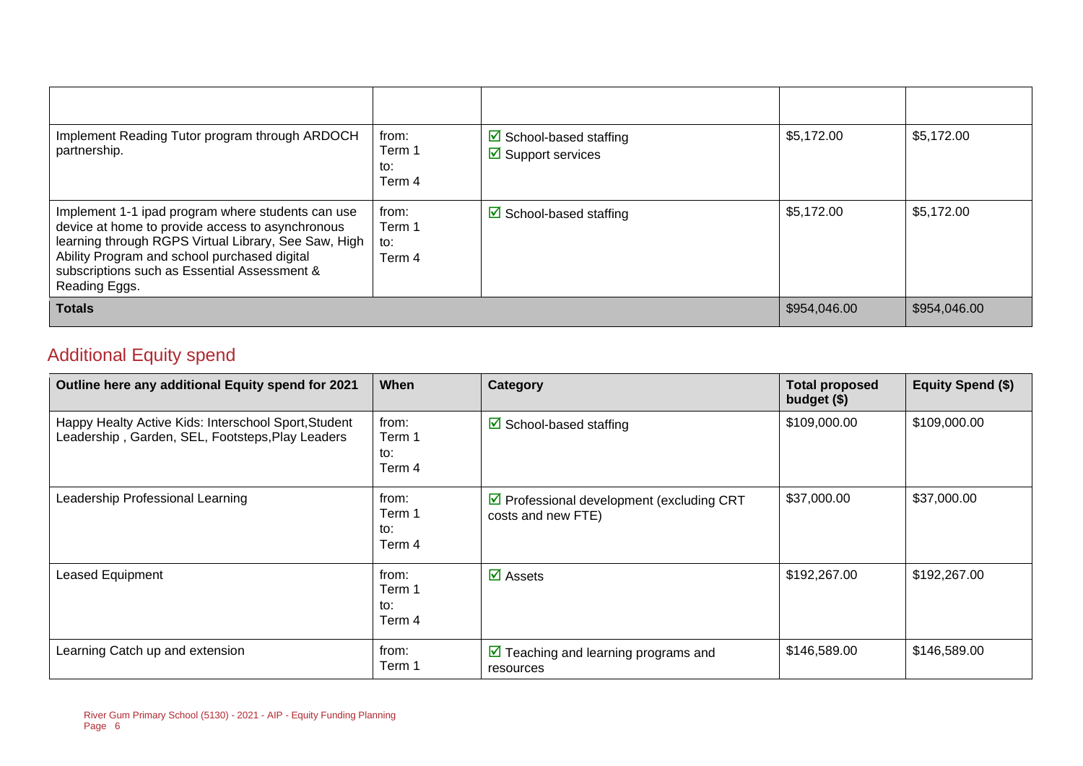| Implement Reading Tutor program through ARDOCH<br>partnership.                                                                                                                                                                                                                 | from:<br>Term 1<br>to:<br>Term 4 | $\triangleright$ School-based staffing<br>$\overline{\mathbf{y}}$ Support services | \$5,172.00 | \$5,172.00   |
|--------------------------------------------------------------------------------------------------------------------------------------------------------------------------------------------------------------------------------------------------------------------------------|----------------------------------|------------------------------------------------------------------------------------|------------|--------------|
| Implement 1-1 ipad program where students can use<br>device at home to provide access to asynchronous<br>learning through RGPS Virtual Library, See Saw, High<br>Ability Program and school purchased digital<br>subscriptions such as Essential Assessment &<br>Reading Eggs. | from:<br>Term 1<br>to:<br>Term 4 | $\triangleright$ School-based staffing                                             | \$5,172.00 | \$5,172.00   |
| <b>Totals</b>                                                                                                                                                                                                                                                                  |                                  |                                                                                    |            | \$954,046.00 |

#### Additional Equity spend

| Outline here any additional Equity spend for 2021                                                        | When                             | Category                                                                       | <b>Total proposed</b><br>budget $($)$ | <b>Equity Spend (\$)</b> |
|----------------------------------------------------------------------------------------------------------|----------------------------------|--------------------------------------------------------------------------------|---------------------------------------|--------------------------|
| Happy Healty Active Kids: Interschool Sport, Student<br>Leadership, Garden, SEL, Footsteps, Play Leaders | from:<br>Term 1<br>to:<br>Term 4 | $\boxtimes$ School-based staffing                                              | \$109,000.00                          | \$109,000.00             |
| Leadership Professional Learning                                                                         | from:<br>Term 1<br>to:<br>Term 4 | $\triangleright$ Professional development (excluding CRT<br>costs and new FTE) | \$37,000.00                           | \$37,000.00              |
| Leased Equipment                                                                                         | from:<br>Term 1<br>to:<br>Term 4 | $\overline{\mathsf{M}}$ Assets                                                 | \$192,267.00                          | \$192,267.00             |
| Learning Catch up and extension                                                                          | from:<br>Term 1                  | $\triangleright$ Teaching and learning programs and<br>resources               | \$146,589.00                          | \$146,589.00             |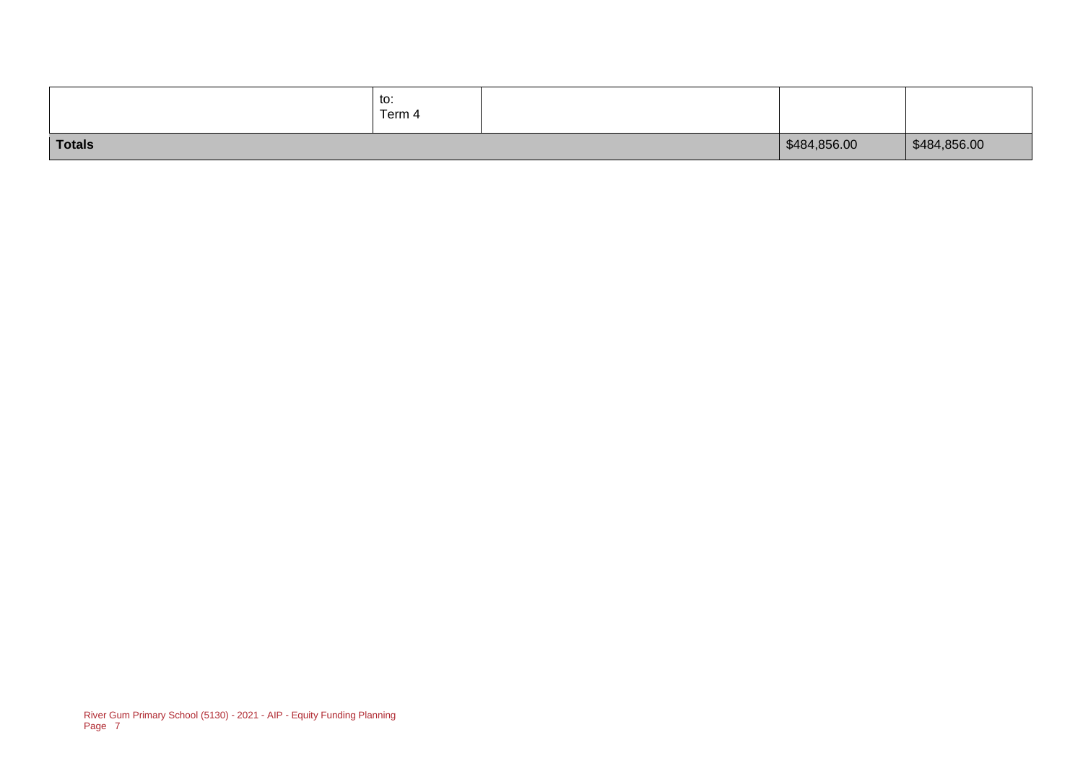|        | to:<br>Term 4 |              |              |
|--------|---------------|--------------|--------------|
| Totals |               | \$484,856.00 | \$484,856.00 |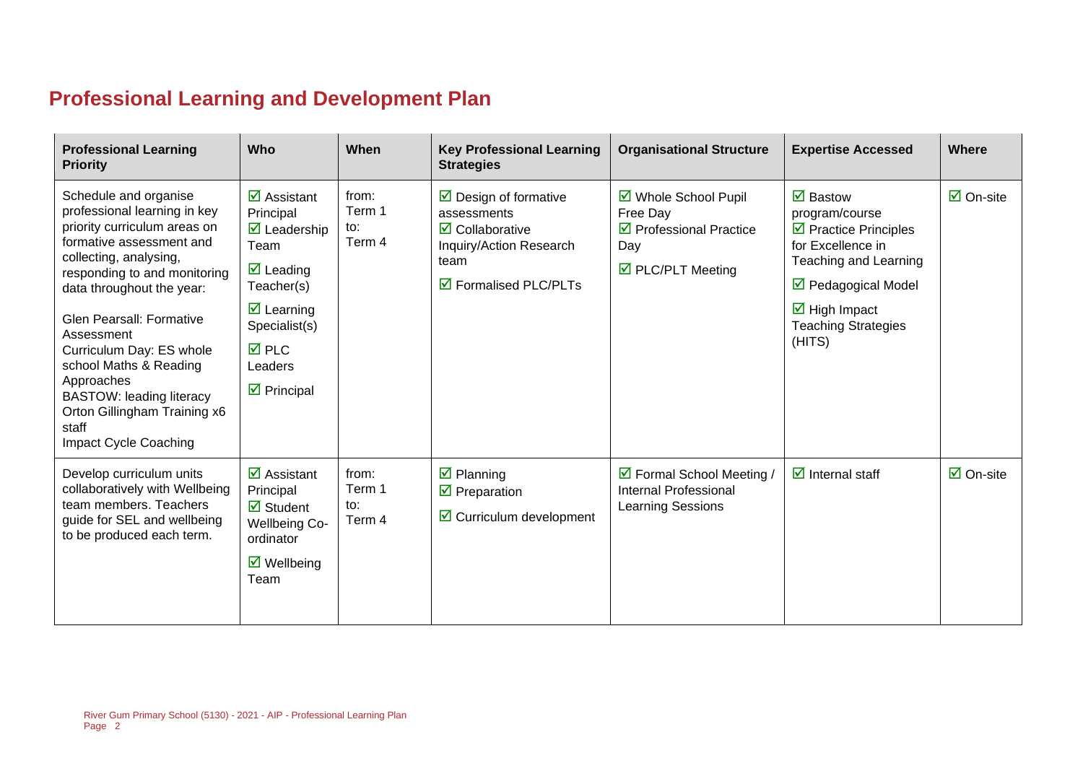## **Professional Learning and Development Plan**

| <b>Professional Learning</b><br><b>Priority</b>                                                                                                                                                                                                                                                                                                                                                                                           | Who                                                                                                                                                                                                                                                | When                             | <b>Key Professional Learning</b><br><b>Strategies</b>                                                                                                                          | <b>Organisational Structure</b>                                                                                     | <b>Expertise Accessed</b>                                                                                                                                                                                                                    | Where                          |
|-------------------------------------------------------------------------------------------------------------------------------------------------------------------------------------------------------------------------------------------------------------------------------------------------------------------------------------------------------------------------------------------------------------------------------------------|----------------------------------------------------------------------------------------------------------------------------------------------------------------------------------------------------------------------------------------------------|----------------------------------|--------------------------------------------------------------------------------------------------------------------------------------------------------------------------------|---------------------------------------------------------------------------------------------------------------------|----------------------------------------------------------------------------------------------------------------------------------------------------------------------------------------------------------------------------------------------|--------------------------------|
| Schedule and organise<br>professional learning in key<br>priority curriculum areas on<br>formative assessment and<br>collecting, analysing,<br>responding to and monitoring<br>data throughout the year:<br><b>Glen Pearsall: Formative</b><br>Assessment<br>Curriculum Day: ES whole<br>school Maths & Reading<br>Approaches<br><b>BASTOW: leading literacy</b><br>Orton Gillingham Training x6<br>staff<br><b>Impact Cycle Coaching</b> | $\overline{\mathbf{z}}$ Assistant<br>Principal<br>$\overline{\mathbf{M}}$ Leadership<br>Team<br>$\overline{\mathbf{M}}$ Leading<br>Teacher(s)<br>$\triangledown$ Learning<br>Specialist(s)<br><b>⊠</b> PLC<br>Leaders<br>$\triangledown$ Principal | from:<br>Term 1<br>to:<br>Term 4 | $\triangleright$ Design of formative<br>assessments<br>$\overline{\mathbf{2}}$ Collaborative<br>Inquiry/Action Research<br>team<br>$\overline{\mathbf{a}}$ Formalised PLC/PLTs | ☑ Whole School Pupil<br>Free Day<br>$\triangledown$ Professional Practice<br>Day<br>$\triangledown$ PLC/PLT Meeting | $\overline{\mathbf{z}}$ Bastow<br>program/course<br>$\triangleright$ Practice Principles<br>for Excellence in<br>Teaching and Learning<br>☑ Pedagogical Model<br>$\overline{\mathbf{M}}$ High Impact<br><b>Teaching Strategies</b><br>(HITS) | $\overline{\boxtimes}$ On-site |
| Develop curriculum units<br>collaboratively with Wellbeing<br>team members. Teachers<br>guide for SEL and wellbeing<br>to be produced each term.                                                                                                                                                                                                                                                                                          | $\overline{\mathbf{z}}$ Assistant<br>Principal<br>$\overline{\mathbf{z}}$ Student<br><b>Wellbeing Co-</b><br>ordinator<br>$\boxtimes$ Wellbeing<br>Team                                                                                            | from:<br>Term 1<br>to:<br>Term 4 | $\overline{\mathbf{z}}$ Planning<br>$\triangledown$ Preparation<br>$\triangleright$ Curriculum development                                                                     | ☑ Formal School Meeting /<br><b>Internal Professional</b><br>Learning Sessions                                      | $\overline{\mathbf{z}}$ Internal staff                                                                                                                                                                                                       | $\overline{\boxtimes}$ On-site |